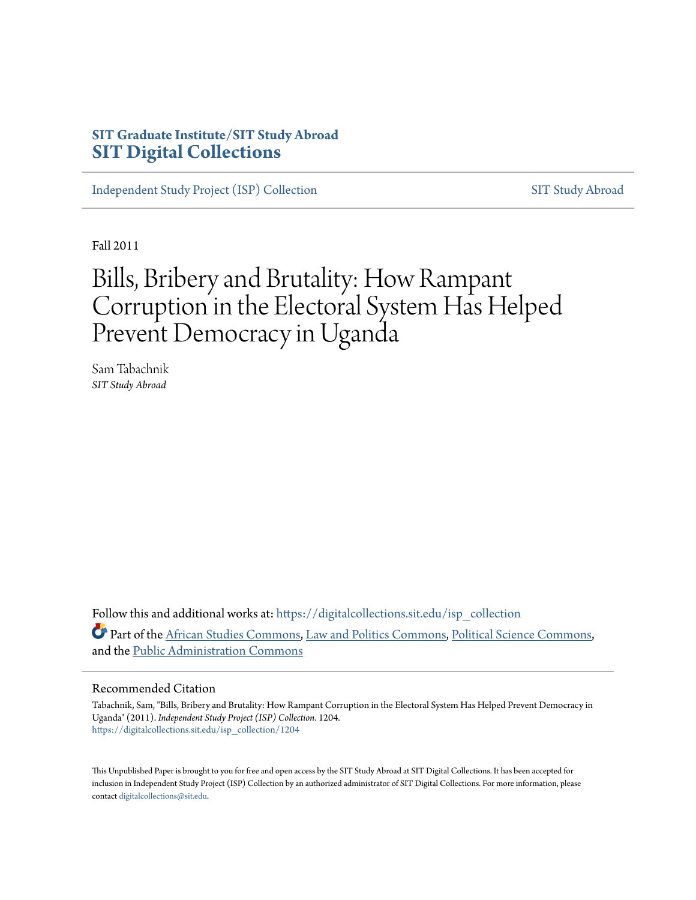# **SIT Graduate Institute/SIT Study Abroad [SIT Digital Collections](https://digitalcollections.sit.edu?utm_source=digitalcollections.sit.edu%2Fisp_collection%2F1204&utm_medium=PDF&utm_campaign=PDFCoverPages)**

[Independent Study Project \(ISP\) Collection](https://digitalcollections.sit.edu/isp_collection?utm_source=digitalcollections.sit.edu%2Fisp_collection%2F1204&utm_medium=PDF&utm_campaign=PDFCoverPages) [SIT Study Abroad](https://digitalcollections.sit.edu/study_abroad?utm_source=digitalcollections.sit.edu%2Fisp_collection%2F1204&utm_medium=PDF&utm_campaign=PDFCoverPages)

Fall 2011

# Bills, Bribery and Brutality: How Rampant Corruption in the Electoral System Has Helped Prevent Democracy in Uganda

Sam Tabachnik *SIT Study Abroad*

Follow this and additional works at: [https://digitalcollections.sit.edu/isp\\_collection](https://digitalcollections.sit.edu/isp_collection?utm_source=digitalcollections.sit.edu%2Fisp_collection%2F1204&utm_medium=PDF&utm_campaign=PDFCoverPages) Part of the [African Studies Commons](http://network.bepress.com/hgg/discipline/1043?utm_source=digitalcollections.sit.edu%2Fisp_collection%2F1204&utm_medium=PDF&utm_campaign=PDFCoverPages), [Law and Politics Commons,](http://network.bepress.com/hgg/discipline/867?utm_source=digitalcollections.sit.edu%2Fisp_collection%2F1204&utm_medium=PDF&utm_campaign=PDFCoverPages) [Political Science Commons,](http://network.bepress.com/hgg/discipline/386?utm_source=digitalcollections.sit.edu%2Fisp_collection%2F1204&utm_medium=PDF&utm_campaign=PDFCoverPages) and the [Public Administration Commons](http://network.bepress.com/hgg/discipline/398?utm_source=digitalcollections.sit.edu%2Fisp_collection%2F1204&utm_medium=PDF&utm_campaign=PDFCoverPages)

#### Recommended Citation

Tabachnik, Sam, "Bills, Bribery and Brutality: How Rampant Corruption in the Electoral System Has Helped Prevent Democracy in Uganda" (2011). *Independent Study Project (ISP) Collection*. 1204. [https://digitalcollections.sit.edu/isp\\_collection/1204](https://digitalcollections.sit.edu/isp_collection/1204?utm_source=digitalcollections.sit.edu%2Fisp_collection%2F1204&utm_medium=PDF&utm_campaign=PDFCoverPages)

This Unpublished Paper is brought to you for free and open access by the SIT Study Abroad at SIT Digital Collections. It has been accepted for inclusion in Independent Study Project (ISP) Collection by an authorized administrator of SIT Digital Collections. For more information, please contact [digitalcollections@sit.edu](mailto:digitalcollections@sit.edu).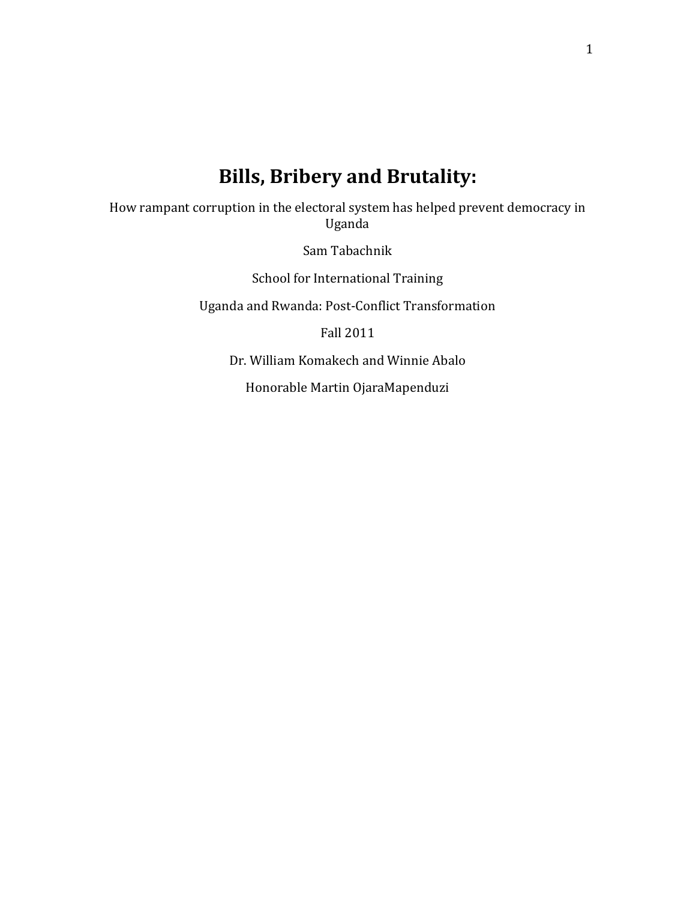# Bills, Bribery and Brutality:

How rampant corruption in the electoral system has helped prevent democracy in Uganda

Sam Tabachnik

School for International Training

Uganda and Rwanda: Post-Conflict Transformation

Fall 2011

Dr. William Komakech and Winnie Abalo

Honorable Martin OjaraMapenduzi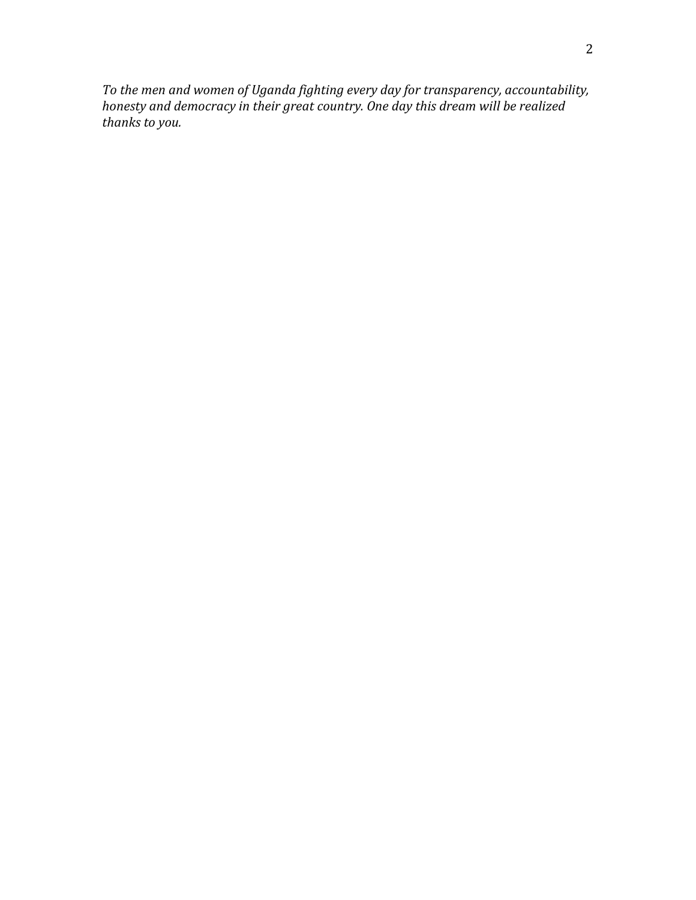To the men and women of Uganda fighting every day for transparency, accountability, honesty and democracy in their great country. One day this dream will be realized thanks to you.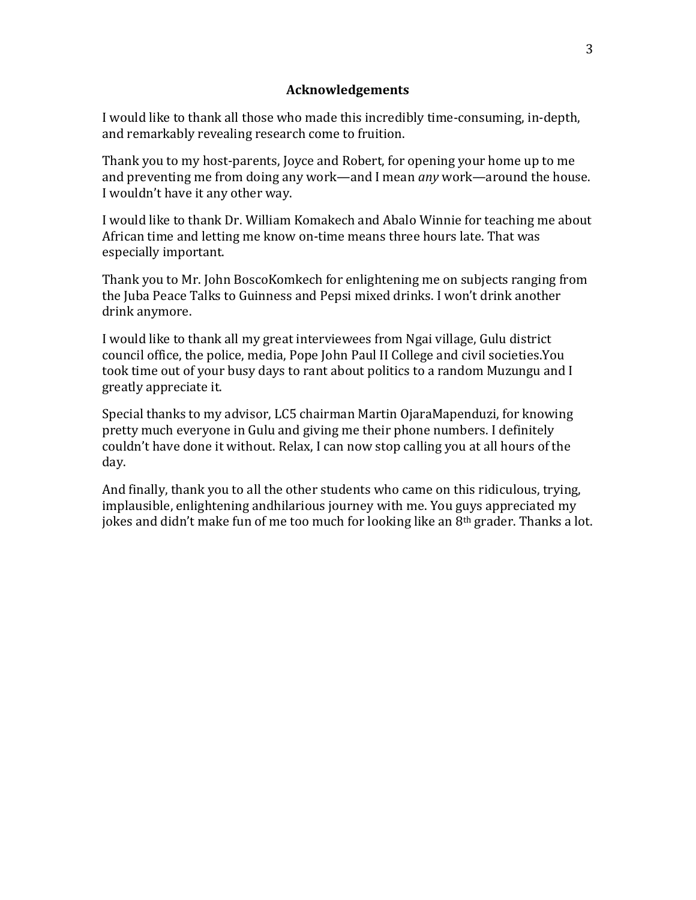# Acknowledgements

I would like to thank all those who made this incredibly time-consuming, in-depth, and remarkably revealing research come to fruition.

Thank you to my host-parents, Joyce and Robert, for opening your home up to me and preventing me from doing any work—and I mean any work—around the house. I wouldn't have it any other way.

I would like to thank Dr. William Komakech and Abalo Winnie for teaching me about African time and letting me know on-time means three hours late. That was especially important.

Thank you to Mr. John BoscoKomkech for enlightening me on subjects ranging from the Juba Peace Talks to Guinness and Pepsi mixed drinks. I won't drink another drink anymore.

I would like to thank all my great interviewees from Ngai village, Gulu district council office, the police, media, Pope John Paul II College and civil societies.You took time out of your busy days to rant about politics to a random Muzungu and I greatly appreciate it.

Special thanks to my advisor, LC5 chairman Martin OjaraMapenduzi, for knowing pretty much everyone in Gulu and giving me their phone numbers. I definitely couldn't have done it without. Relax, I can now stop calling you at all hours of the day.

And finally, thank you to all the other students who came on this ridiculous, trying, implausible, enlightening andhilarious journey with me. You guys appreciated my jokes and didn't make fun of me too much for looking like an  $8<sup>th</sup>$  grader. Thanks a lot.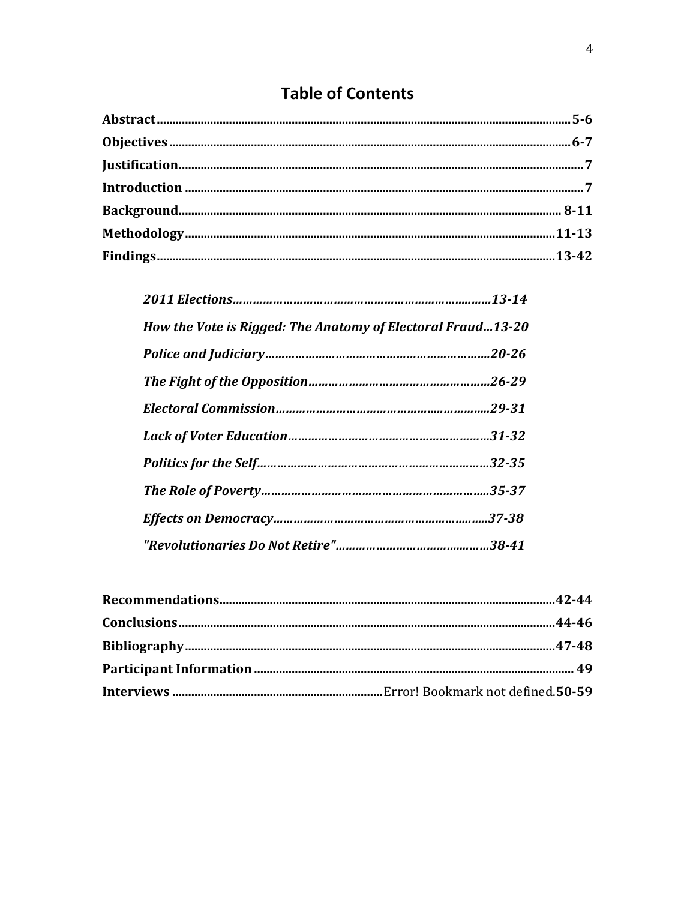# **Table of Contents**

| How the Vote is Rigged: The Anatomy of Electoral Fraud13-20 |  |
|-------------------------------------------------------------|--|
|                                                             |  |
|                                                             |  |
|                                                             |  |
|                                                             |  |
|                                                             |  |
|                                                             |  |
|                                                             |  |
|                                                             |  |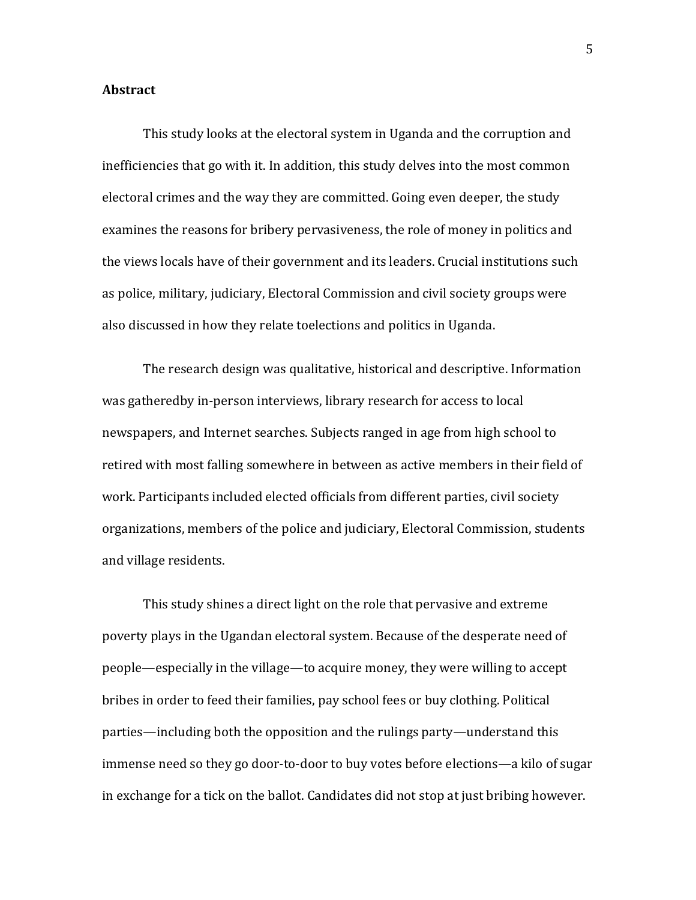# **Abstract**

This study looks at the electoral system in Uganda and the corruption and inefficiencies that go with it. In addition, this study delves into the most common electoral crimes and the way they are committed. Going even deeper, the study examines the reasons for bribery pervasiveness, the role of money in politics and the views locals have of their government and its leaders. Crucial institutions such as police, military, judiciary, Electoral Commission and civil society groups were also discussed in how they relate toelections and politics in Uganda.

The research design was qualitative, historical and descriptive. Information was gatheredby in-person interviews, library research for access to local newspapers, and Internet searches. Subjects ranged in age from high school to retired with most falling somewhere in between as active members in their field of work. Participants included elected officials from different parties, civil society organizations, members of the police and judiciary, Electoral Commission, students and village residents.

This study shines a direct light on the role that pervasive and extreme poverty plays in the Ugandan electoral system. Because of the desperate need of people—especially in the village—to acquire money, they were willing to accept bribes in order to feed their families, pay school fees or buy clothing. Political parties—including both the opposition and the rulings party—understand this immense need so they go door-to-door to buy votes before elections—a kilo of sugar in exchange for a tick on the ballot. Candidates did not stop at just bribing however.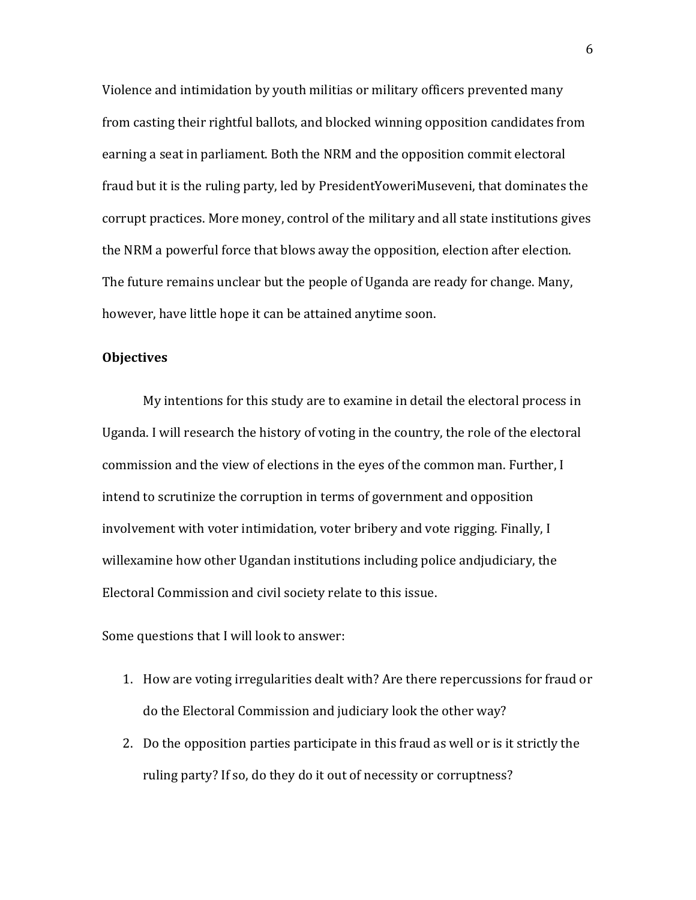Violence and intimidation by youth militias or military officers prevented many from casting their rightful ballots, and blocked winning opposition candidates from earning a seat in parliament. Both the NRM and the opposition commit electoral fraud but it is the ruling party, led by PresidentYoweriMuseveni, that dominates the corrupt practices. More money, control of the military and all state institutions gives the NRM a powerful force that blows away the opposition, election after election. The future remains unclear but the people of Uganda are ready for change. Many, however, have little hope it can be attained anytime soon.

# **Objectives**

My intentions for this study are to examine in detail the electoral process in Uganda. I will research the history of voting in the country, the role of the electoral commission and the view of elections in the eyes of the common man. Further, I intend to scrutinize the corruption in terms of government and opposition involvement with voter intimidation, voter bribery and vote rigging. Finally, I willexamine how other Ugandan institutions including police andjudiciary, the Electoral Commission and civil society relate to this issue.

Some questions that I will look to answer:

- 1. How are voting irregularities dealt with? Are there repercussions for fraud or do the Electoral Commission and judiciary look the other way?
- 2. Do the opposition parties participate in this fraud as well or is it strictly the ruling party? If so, do they do it out of necessity or corruptness?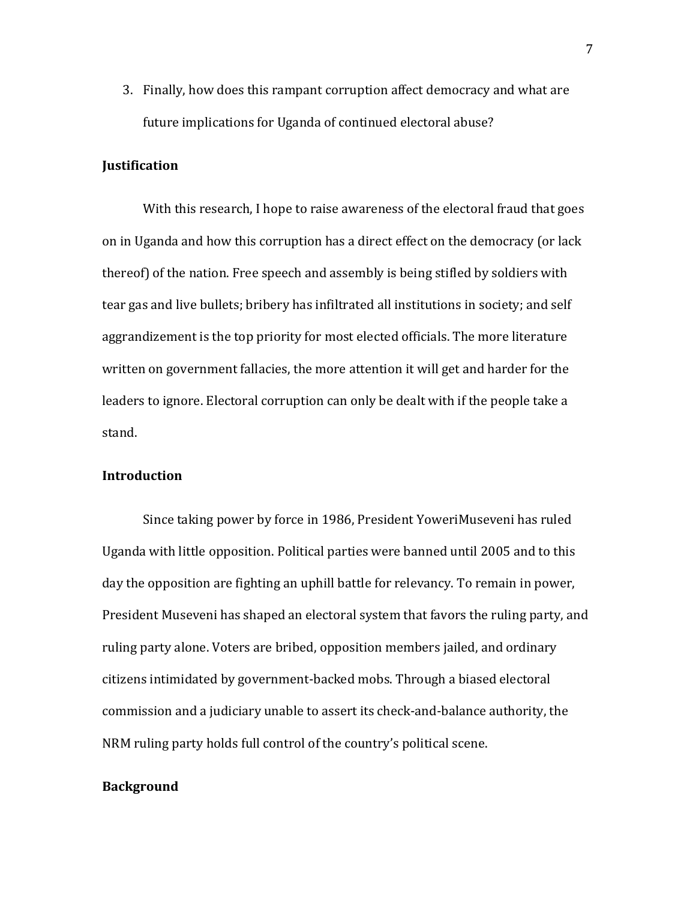3. Finally, how does this rampant corruption affect democracy and what are future implications for Uganda of continued electoral abuse?

# Justification

With this research, I hope to raise awareness of the electoral fraud that goes on in Uganda and how this corruption has a direct effect on the democracy (or lack thereof) of the nation. Free speech and assembly is being stifled by soldiers with tear gas and live bullets; bribery has infiltrated all institutions in society; and self aggrandizement is the top priority for most elected officials. The more literature written on government fallacies, the more attention it will get and harder for the leaders to ignore. Electoral corruption can only be dealt with if the people take a stand.

# Introduction

Since taking power by force in 1986, President YoweriMuseveni has ruled Uganda with little opposition. Political parties were banned until 2005 and to this day the opposition are fighting an uphill battle for relevancy. To remain in power, President Museveni has shaped an electoral system that favors the ruling party, and ruling party alone. Voters are bribed, opposition members jailed, and ordinary citizens intimidated by government-backed mobs. Through a biased electoral commission and a judiciary unable to assert its check-and-balance authority, the NRM ruling party holds full control of the country's political scene.

#### Background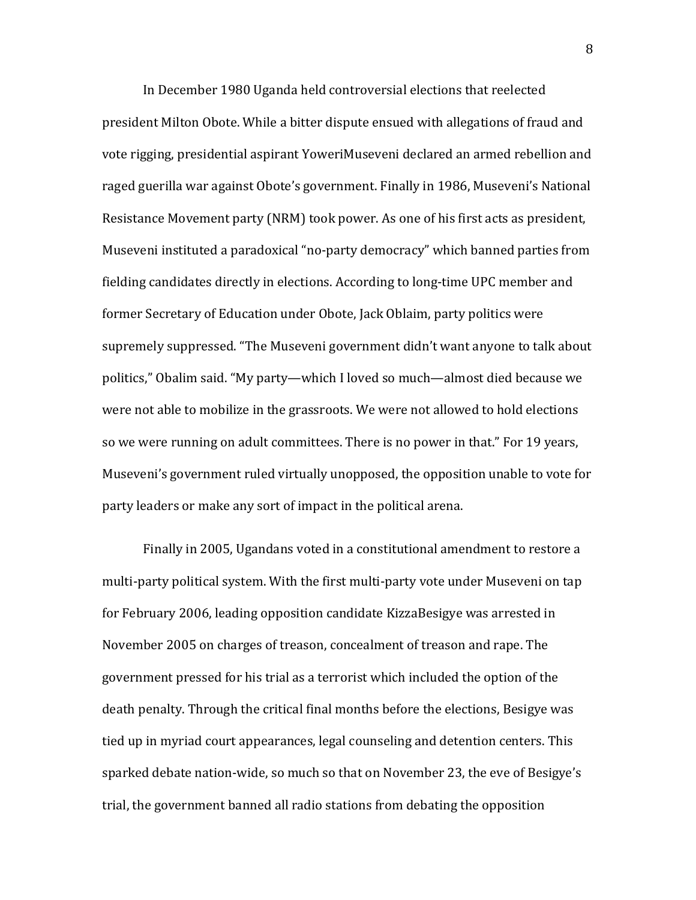In December 1980 Uganda held controversial elections that reelected president Milton Obote. While a bitter dispute ensued with allegations of fraud and vote rigging, presidential aspirant YoweriMuseveni declared an armed rebellion and raged guerilla war against Obote's government. Finally in 1986, Museveni's National Resistance Movement party (NRM) took power. As one of his first acts as president, Museveni instituted a paradoxical "no-party democracy" which banned parties from fielding candidates directly in elections. According to long-time UPC member and former Secretary of Education under Obote, Jack Oblaim, party politics were supremely suppressed. "The Museveni government didn't want anyone to talk about politics," Obalim said. "My party—which I loved so much—almost died because we were not able to mobilize in the grassroots. We were not allowed to hold elections so we were running on adult committees. There is no power in that." For 19 years, Museveni's government ruled virtually unopposed, the opposition unable to vote for party leaders or make any sort of impact in the political arena.

Finally in 2005, Ugandans voted in a constitutional amendment to restore a multi-party political system. With the first multi-party vote under Museveni on tap for February 2006, leading opposition candidate KizzaBesigye was arrested in November 2005 on charges of treason, concealment of treason and rape. The government pressed for his trial as a terrorist which included the option of the death penalty. Through the critical final months before the elections, Besigye was tied up in myriad court appearances, legal counseling and detention centers. This sparked debate nation-wide, so much so that on November 23, the eve of Besigye's trial, the government banned all radio stations from debating the opposition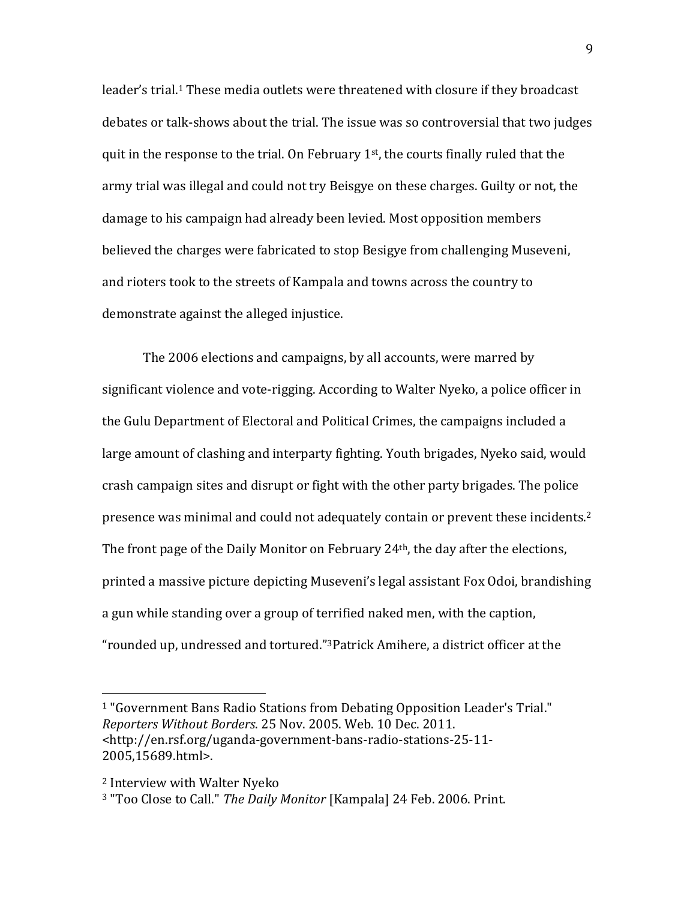leader's trial.<sup>1</sup> These media outlets were threatened with closure if they broadcast debates or talk-shows about the trial. The issue was so controversial that two judges quit in the response to the trial. On February 1<sup>st</sup>, the courts finally ruled that the army trial was illegal and could not try Beisgye on these charges. Guilty or not, the damage to his campaign had already been levied. Most opposition members believed the charges were fabricated to stop Besigye from challenging Museveni, and rioters took to the streets of Kampala and towns across the country to demonstrate against the alleged injustice.

The 2006 elections and campaigns, by all accounts, were marred by significant violence and vote-rigging. According to Walter Nyeko, a police officer in the Gulu Department of Electoral and Political Crimes, the campaigns included a large amount of clashing and interparty fighting. Youth brigades, Nyeko said, would crash campaign sites and disrupt or fight with the other party brigades. The police presence was minimal and could not adequately contain or prevent these incidents.<sup>2</sup> The front page of the Daily Monitor on February 24th, the day after the elections, printed a massive picture depicting Museveni's legal assistant Fox Odoi, brandishing a gun while standing over a group of terrified naked men, with the caption, "rounded up, undressed and tortured."3Patrick Amihere, a district officer at the

<u>.</u>

<sup>1</sup> "Government Bans Radio Stations from Debating Opposition Leader's Trial." Reporters Without Borders. 25 Nov. 2005. Web. 10 Dec. 2011. <http://en.rsf.org/uganda-government-bans-radio-stations-25-11- 2005,15689.html>.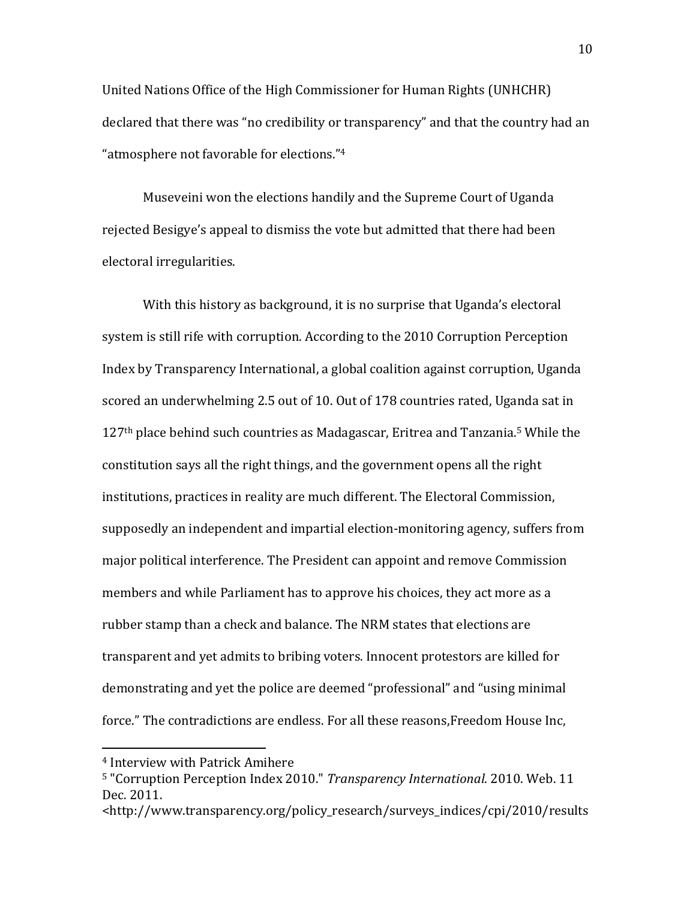United Nations Office of the High Commissioner for Human Rights (UNHCHR) declared that there was "no credibility or transparency" and that the country had an "atmosphere not favorable for elections."<sup>4</sup>

Museveini won the elections handily and the Supreme Court of Uganda rejected Besigye's appeal to dismiss the vote but admitted that there had been electoral irregularities.

With this history as background, it is no surprise that Uganda's electoral system is still rife with corruption. According to the 2010 Corruption Perception Index by Transparency International, a global coalition against corruption, Uganda scored an underwhelming 2.5 out of 10. Out of 178 countries rated, Uganda sat in 127th place behind such countries as Madagascar, Eritrea and Tanzania.5 While the constitution says all the right things, and the government opens all the right institutions, practices in reality are much different. The Electoral Commission, supposedly an independent and impartial election-monitoring agency, suffers from major political interference. The President can appoint and remove Commission members and while Parliament has to approve his choices, they act more as a rubber stamp than a check and balance. The NRM states that elections are transparent and yet admits to bribing voters. Innocent protestors are killed for demonstrating and yet the police are deemed "professional" and "using minimal force." The contradictions are endless. For all these reasons,Freedom House Inc,

 $\overline{a}$ 

<sup>4</sup> Interview with Patrick Amihere

<sup>5</sup> "Corruption Perception Index 2010." Transparency International. 2010. Web. 11 Dec. 2011.

<sup>&</sup>lt;http://www.transparency.org/policy\_research/surveys\_indices/cpi/2010/results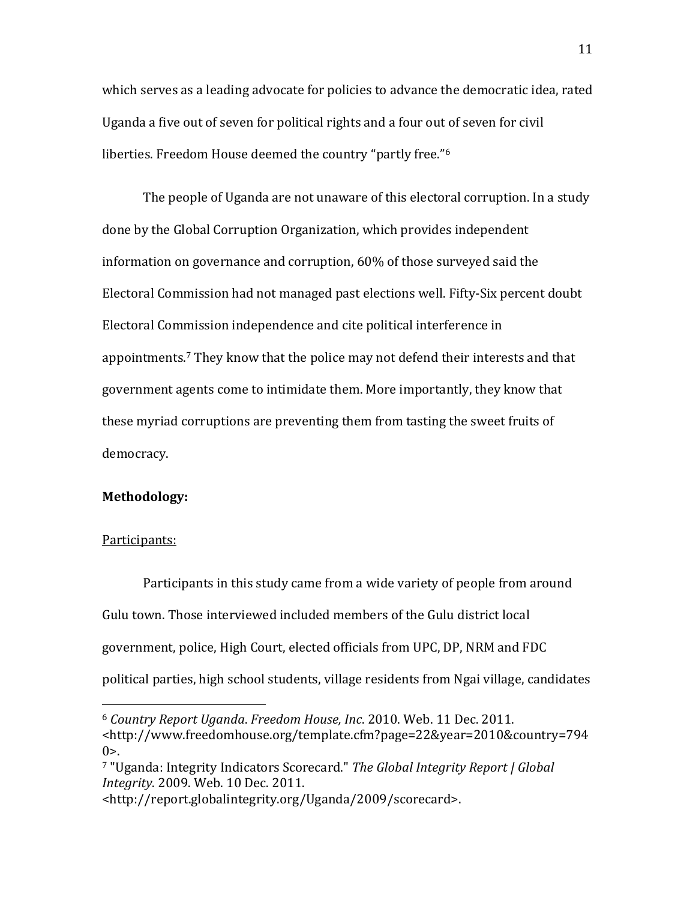which serves as a leading advocate for policies to advance the democratic idea, rated Uganda a five out of seven for political rights and a four out of seven for civil liberties. Freedom House deemed the country "partly free."<sup>6</sup>

The people of Uganda are not unaware of this electoral corruption. In a study done by the Global Corruption Organization, which provides independent information on governance and corruption, 60% of those surveyed said the Electoral Commission had not managed past elections well. Fifty-Six percent doubt Electoral Commission independence and cite political interference in appointments.7 They know that the police may not defend their interests and that government agents come to intimidate them. More importantly, they know that these myriad corruptions are preventing them from tasting the sweet fruits of democracy.

# Methodology:

#### Participants:

 $\overline{a}$ 

Participants in this study came from a wide variety of people from around Gulu town. Those interviewed included members of the Gulu district local government, police, High Court, elected officials from UPC, DP, NRM and FDC political parties, high school students, village residents from Ngai village, candidates

<sup>6</sup> Country Report Uganda. Freedom House, Inc. 2010. Web. 11 Dec. 2011. <http://www.freedomhouse.org/template.cfm?page=22&year=2010&country=794  $0$  $>$ .

<sup>7</sup> "Uganda: Integrity Indicators Scorecard." The Global Integrity Report | Global Integrity. 2009. Web. 10 Dec. 2011.

<sup>&</sup>lt;http://report.globalintegrity.org/Uganda/2009/scorecard>.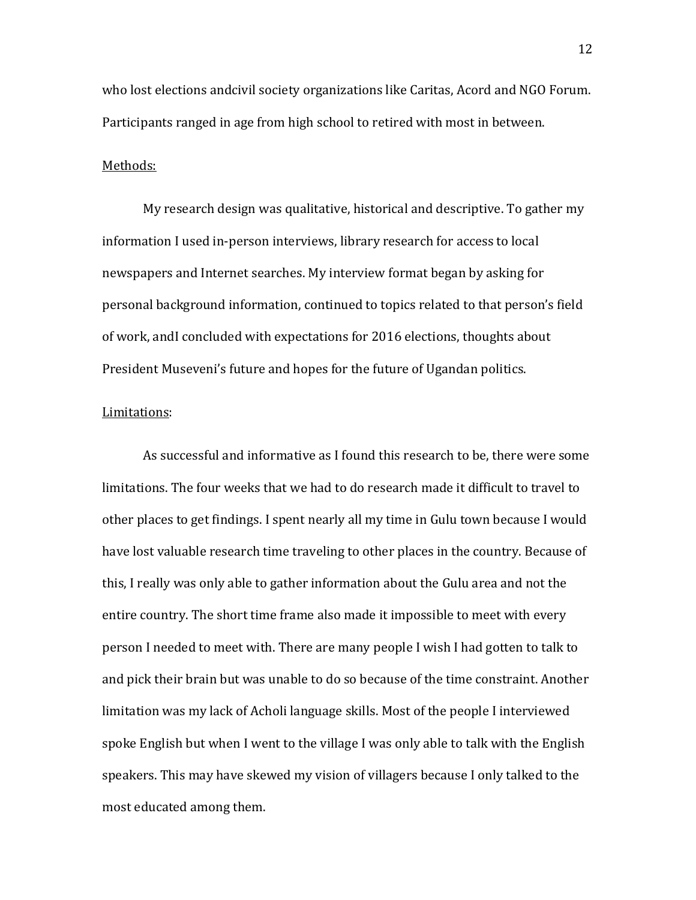who lost elections andcivil society organizations like Caritas, Acord and NGO Forum. Participants ranged in age from high school to retired with most in between.

#### Methods:

My research design was qualitative, historical and descriptive. To gather my information I used in-person interviews, library research for access to local newspapers and Internet searches. My interview format began by asking for personal background information, continued to topics related to that person's field of work, andI concluded with expectations for 2016 elections, thoughts about President Museveni's future and hopes for the future of Ugandan politics.

# Limitations:

As successful and informative as I found this research to be, there were some limitations. The four weeks that we had to do research made it difficult to travel to other places to get findings. I spent nearly all my time in Gulu town because I would have lost valuable research time traveling to other places in the country. Because of this, I really was only able to gather information about the Gulu area and not the entire country. The short time frame also made it impossible to meet with every person I needed to meet with. There are many people I wish I had gotten to talk to and pick their brain but was unable to do so because of the time constraint. Another limitation was my lack of Acholi language skills. Most of the people I interviewed spoke English but when I went to the village I was only able to talk with the English speakers. This may have skewed my vision of villagers because I only talked to the most educated among them.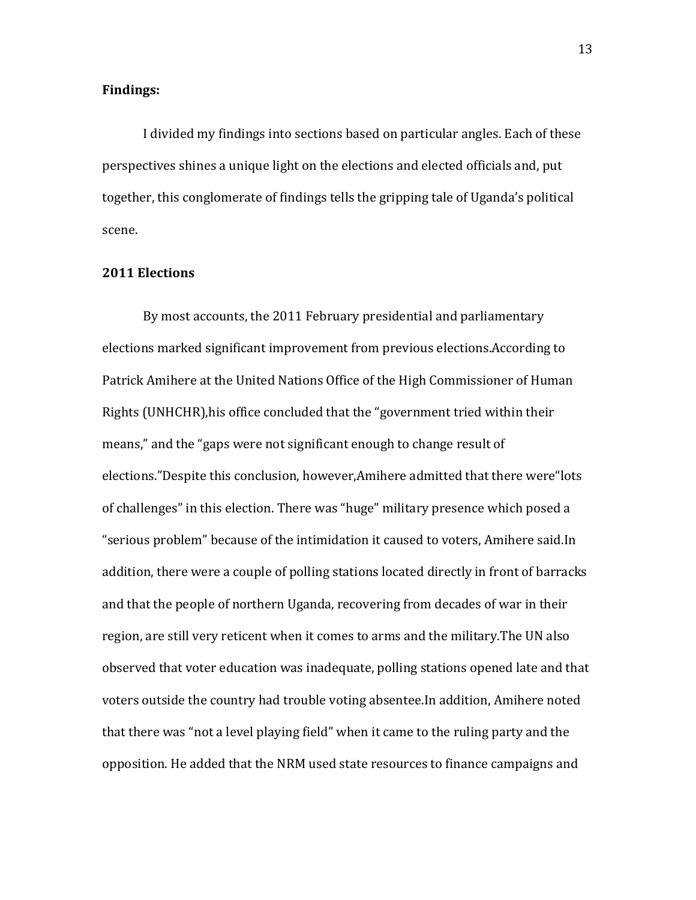# Findings:

I divided my findings into sections based on particular angles. Each of these perspectives shines a unique light on the elections and elected officials and, put together, this conglomerate of findings tells the gripping tale of Uganda's political scene.

# 2011 Elections

By most accounts, the 2011 February presidential and parliamentary elections marked significant improvement from previous elections.According to Patrick Amihere at the United Nations Office of the High Commissioner of Human Rights (UNHCHR),his office concluded that the "government tried within their means," and the "gaps were not significant enough to change result of elections."Despite this conclusion, however,Amihere admitted that there were"lots of challenges" in this election. There was "huge" military presence which posed a "serious problem" because of the intimidation it caused to voters, Amihere said.In addition, there were a couple of polling stations located directly in front of barracks and that the people of northern Uganda, recovering from decades of war in their region, are still very reticent when it comes to arms and the military.The UN also observed that voter education was inadequate, polling stations opened late and that voters outside the country had trouble voting absentee.In addition, Amihere noted that there was "not a level playing field" when it came to the ruling party and the opposition. He added that the NRM used state resources to finance campaigns and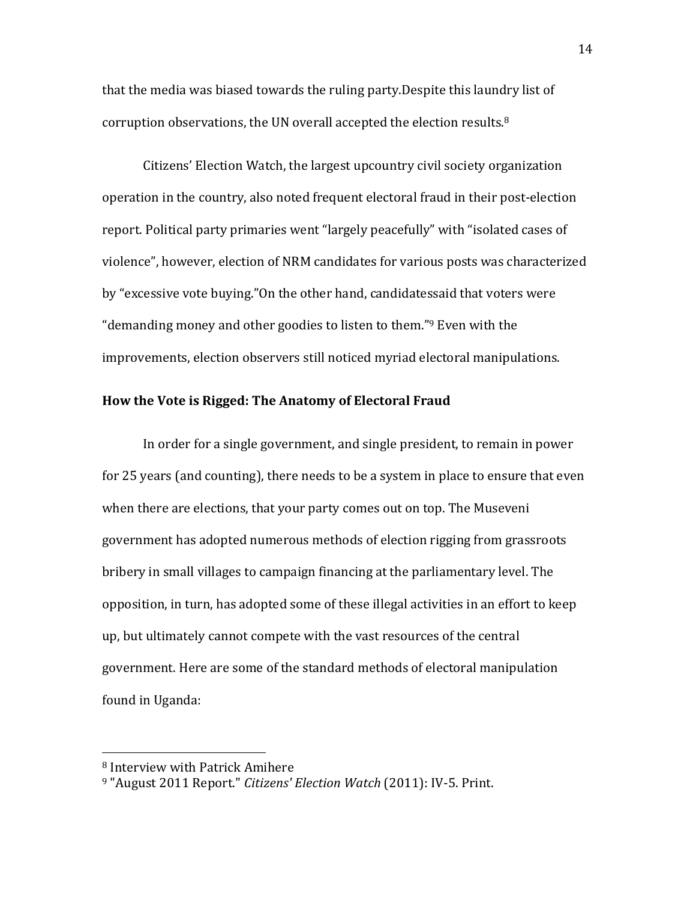that the media was biased towards the ruling party.Despite this laundry list of corruption observations, the UN overall accepted the election results.<sup>8</sup>

Citizens' Election Watch, the largest upcountry civil society organization operation in the country, also noted frequent electoral fraud in their post-election report. Political party primaries went "largely peacefully" with "isolated cases of violence", however, election of NRM candidates for various posts was characterized by "excessive vote buying."On the other hand, candidatessaid that voters were "demanding money and other goodies to listen to them."9 Even with the improvements, election observers still noticed myriad electoral manipulations.

# How the Vote is Rigged: The Anatomy of Electoral Fraud

In order for a single government, and single president, to remain in power for 25 years (and counting), there needs to be a system in place to ensure that even when there are elections, that your party comes out on top. The Museveni government has adopted numerous methods of election rigging from grassroots bribery in small villages to campaign financing at the parliamentary level. The opposition, in turn, has adopted some of these illegal activities in an effort to keep up, but ultimately cannot compete with the vast resources of the central government. Here are some of the standard methods of electoral manipulation found in Uganda:

 $\overline{a}$ 

<sup>8</sup> Interview with Patrick Amihere

<sup>&</sup>lt;sup>9</sup> "August 2011 Report." Citizens' Election Watch (2011): IV-5. Print.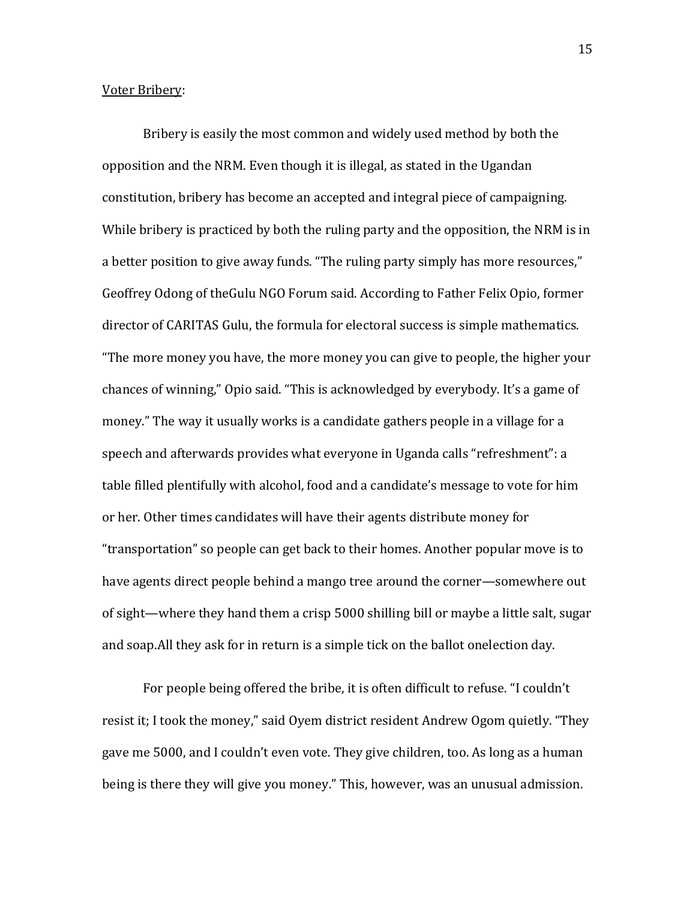# Voter Bribery:

Bribery is easily the most common and widely used method by both the opposition and the NRM. Even though it is illegal, as stated in the Ugandan constitution, bribery has become an accepted and integral piece of campaigning. While bribery is practiced by both the ruling party and the opposition, the NRM is in a better position to give away funds. "The ruling party simply has more resources," Geoffrey Odong of theGulu NGO Forum said. According to Father Felix Opio, former director of CARITAS Gulu, the formula for electoral success is simple mathematics. "The more money you have, the more money you can give to people, the higher your chances of winning," Opio said. "This is acknowledged by everybody. It's a game of money." The way it usually works is a candidate gathers people in a village for a speech and afterwards provides what everyone in Uganda calls "refreshment": a table filled plentifully with alcohol, food and a candidate's message to vote for him or her. Other times candidates will have their agents distribute money for "transportation" so people can get back to their homes. Another popular move is to have agents direct people behind a mango tree around the corner—somewhere out of sight—where they hand them a crisp 5000 shilling bill or maybe a little salt, sugar and soap.All they ask for in return is a simple tick on the ballot onelection day.

For people being offered the bribe, it is often difficult to refuse. "I couldn't resist it; I took the money," said Oyem district resident Andrew Ogom quietly. "They gave me 5000, and I couldn't even vote. They give children, too. As long as a human being is there they will give you money." This, however, was an unusual admission.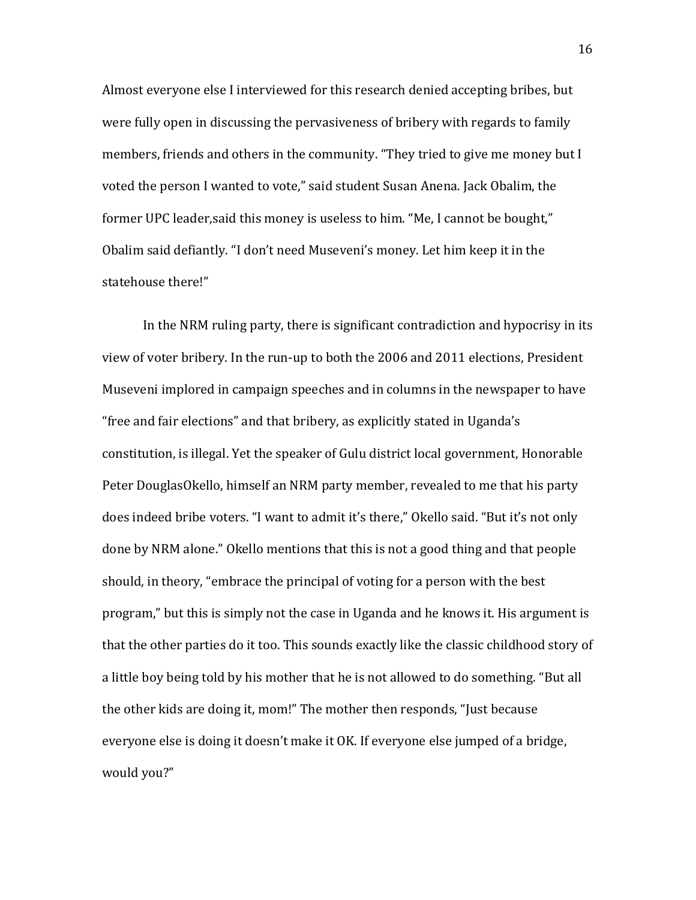Almost everyone else I interviewed for this research denied accepting bribes, but were fully open in discussing the pervasiveness of bribery with regards to family members, friends and others in the community. "They tried to give me money but I voted the person I wanted to vote," said student Susan Anena. Jack Obalim, the former UPC leader,said this money is useless to him. "Me, I cannot be bought," Obalim said defiantly. "I don't need Museveni's money. Let him keep it in the statehouse there!"

In the NRM ruling party, there is significant contradiction and hypocrisy in its view of voter bribery. In the run-up to both the 2006 and 2011 elections, President Museveni implored in campaign speeches and in columns in the newspaper to have "free and fair elections" and that bribery, as explicitly stated in Uganda's constitution, is illegal. Yet the speaker of Gulu district local government, Honorable Peter DouglasOkello, himself an NRM party member, revealed to me that his party does indeed bribe voters. "I want to admit it's there," Okello said. "But it's not only done by NRM alone." Okello mentions that this is not a good thing and that people should, in theory, "embrace the principal of voting for a person with the best program," but this is simply not the case in Uganda and he knows it. His argument is that the other parties do it too. This sounds exactly like the classic childhood story of a little boy being told by his mother that he is not allowed to do something. "But all the other kids are doing it, mom!" The mother then responds, "Just because everyone else is doing it doesn't make it OK. If everyone else jumped of a bridge, would you?"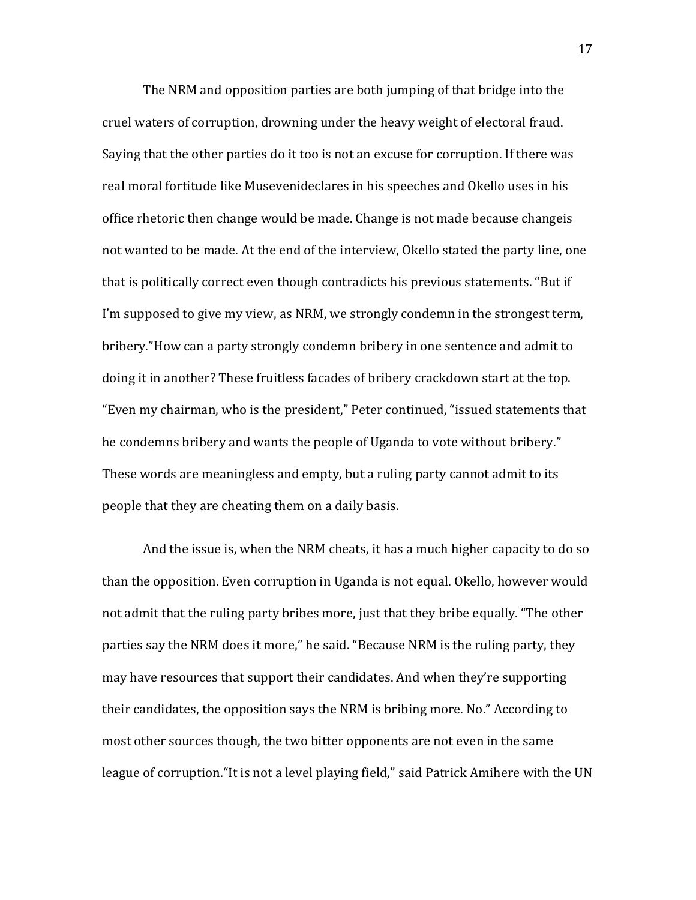The NRM and opposition parties are both jumping of that bridge into the cruel waters of corruption, drowning under the heavy weight of electoral fraud. Saying that the other parties do it too is not an excuse for corruption. If there was real moral fortitude like Musevenideclares in his speeches and Okello uses in his office rhetoric then change would be made. Change is not made because changeis not wanted to be made. At the end of the interview, Okello stated the party line, one that is politically correct even though contradicts his previous statements. "But if I'm supposed to give my view, as NRM, we strongly condemn in the strongest term, bribery."How can a party strongly condemn bribery in one sentence and admit to doing it in another? These fruitless facades of bribery crackdown start at the top. "Even my chairman, who is the president," Peter continued, "issued statements that he condemns bribery and wants the people of Uganda to vote without bribery." These words are meaningless and empty, but a ruling party cannot admit to its people that they are cheating them on a daily basis.

And the issue is, when the NRM cheats, it has a much higher capacity to do so than the opposition. Even corruption in Uganda is not equal. Okello, however would not admit that the ruling party bribes more, just that they bribe equally. "The other parties say the NRM does it more," he said. "Because NRM is the ruling party, they may have resources that support their candidates. And when they're supporting their candidates, the opposition says the NRM is bribing more. No." According to most other sources though, the two bitter opponents are not even in the same league of corruption."It is not a level playing field," said Patrick Amihere with the UN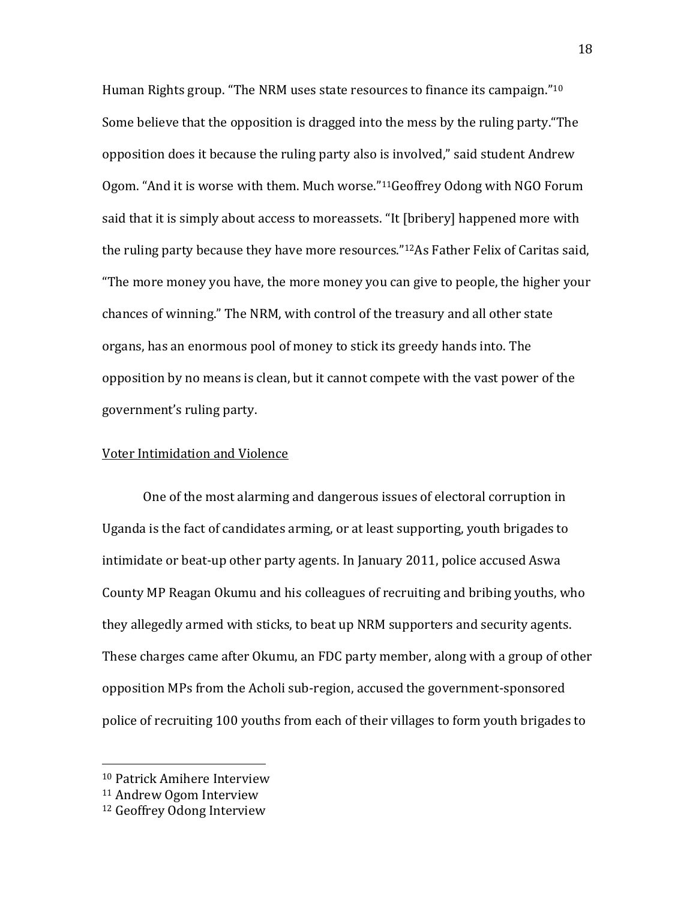Human Rights group. "The NRM uses state resources to finance its campaign."<sup>10</sup> Some believe that the opposition is dragged into the mess by the ruling party."The opposition does it because the ruling party also is involved," said student Andrew Ogom. "And it is worse with them. Much worse."11Geoffrey Odong with NGO Forum said that it is simply about access to moreassets. "It [bribery] happened more with the ruling party because they have more resources."12As Father Felix of Caritas said, "The more money you have, the more money you can give to people, the higher your chances of winning." The NRM, with control of the treasury and all other state organs, has an enormous pool of money to stick its greedy hands into. The opposition by no means is clean, but it cannot compete with the vast power of the government's ruling party.

# Voter Intimidation and Violence

One of the most alarming and dangerous issues of electoral corruption in Uganda is the fact of candidates arming, or at least supporting, youth brigades to intimidate or beat-up other party agents. In January 2011, police accused Aswa County MP Reagan Okumu and his colleagues of recruiting and bribing youths, who they allegedly armed with sticks, to beat up NRM supporters and security agents. These charges came after Okumu, an FDC party member, along with a group of other opposition MPs from the Acholi sub-region, accused the government-sponsored police of recruiting 100 youths from each of their villages to form youth brigades to

<u>.</u>

<sup>10</sup> Patrick Amihere Interview

<sup>11</sup> Andrew Ogom Interview

<sup>12</sup> Geoffrey Odong Interview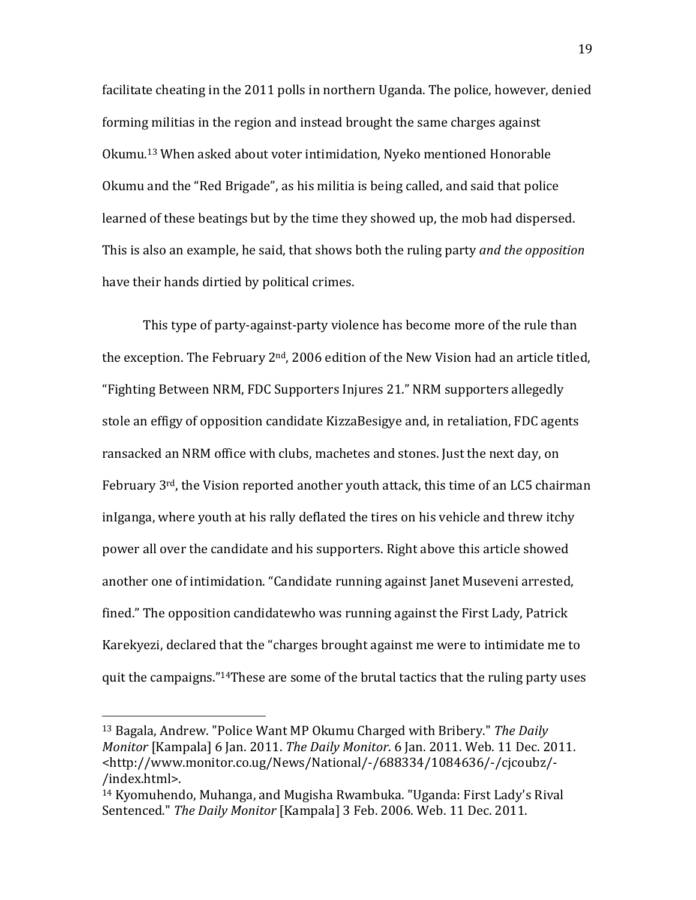facilitate cheating in the 2011 polls in northern Uganda. The police, however, denied forming militias in the region and instead brought the same charges against Okumu.13 When asked about voter intimidation, Nyeko mentioned Honorable Okumu and the "Red Brigade", as his militia is being called, and said that police learned of these beatings but by the time they showed up, the mob had dispersed. This is also an example, he said, that shows both the ruling party and the opposition have their hands dirtied by political crimes.

This type of party-against-party violence has become more of the rule than the exception. The February  $2<sup>nd</sup>$ , 2006 edition of the New Vision had an article titled, "Fighting Between NRM, FDC Supporters Injures 21." NRM supporters allegedly stole an effigy of opposition candidate KizzaBesigye and, in retaliation, FDC agents ransacked an NRM office with clubs, machetes and stones. Just the next day, on February  $3^{rd}$ , the Vision reported another youth attack, this time of an LC5 chairman inIganga, where youth at his rally deflated the tires on his vehicle and threw itchy power all over the candidate and his supporters. Right above this article showed another one of intimidation. "Candidate running against Janet Museveni arrested, fined." The opposition candidatewho was running against the First Lady, Patrick Karekyezi, declared that the "charges brought against me were to intimidate me to quit the campaigns."14These are some of the brutal tactics that the ruling party uses

 $\overline{a}$ 

<sup>&</sup>lt;sup>13</sup> Bagala, Andrew. "Police Want MP Okumu Charged with Bribery." The Daily Monitor [Kampala] 6 Jan. 2011. The Daily Monitor. 6 Jan. 2011. Web. 11 Dec. 2011. <http://www.monitor.co.ug/News/National/-/688334/1084636/-/cjcoubz/- /index.html>.

<sup>14</sup> Kyomuhendo, Muhanga, and Mugisha Rwambuka. "Uganda: First Lady's Rival Sentenced." The Daily Monitor [Kampala] 3 Feb. 2006. Web. 11 Dec. 2011.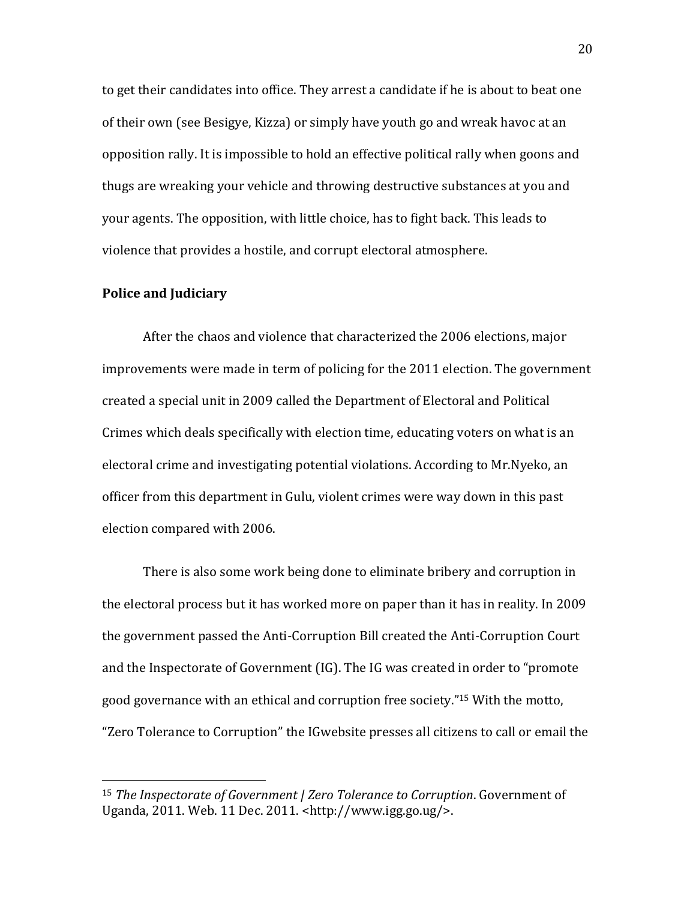to get their candidates into office. They arrest a candidate if he is about to beat one of their own (see Besigye, Kizza) or simply have youth go and wreak havoc at an opposition rally. It is impossible to hold an effective political rally when goons and thugs are wreaking your vehicle and throwing destructive substances at you and your agents. The opposition, with little choice, has to fight back. This leads to violence that provides a hostile, and corrupt electoral atmosphere.

# Police and Judiciary

 $\overline{a}$ 

After the chaos and violence that characterized the 2006 elections, major improvements were made in term of policing for the 2011 election. The government created a special unit in 2009 called the Department of Electoral and Political Crimes which deals specifically with election time, educating voters on what is an electoral crime and investigating potential violations. According to Mr.Nyeko, an officer from this department in Gulu, violent crimes were way down in this past election compared with 2006.

There is also some work being done to eliminate bribery and corruption in the electoral process but it has worked more on paper than it has in reality. In 2009 the government passed the Anti-Corruption Bill created the Anti-Corruption Court and the Inspectorate of Government (IG). The IG was created in order to "promote good governance with an ethical and corruption free society."15 With the motto, "Zero Tolerance to Corruption" the IGwebsite presses all citizens to call or email the

<sup>15</sup> The Inspectorate of Government | Zero Tolerance to Corruption. Government of Uganda, 2011. Web. 11 Dec. 2011. <http://www.igg.go.ug/>.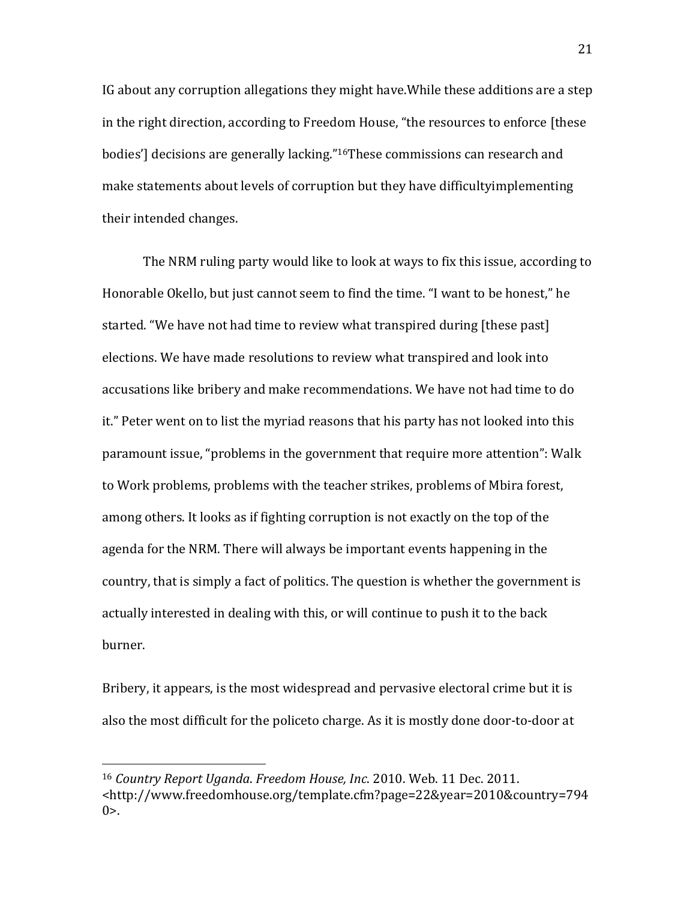IG about any corruption allegations they might have.While these additions are a step in the right direction, according to Freedom House, "the resources to enforce [these bodies'] decisions are generally lacking."16These commissions can research and make statements about levels of corruption but they have difficultyimplementing their intended changes.

The NRM ruling party would like to look at ways to fix this issue, according to Honorable Okello, but just cannot seem to find the time. "I want to be honest," he started. "We have not had time to review what transpired during [these past] elections. We have made resolutions to review what transpired and look into accusations like bribery and make recommendations. We have not had time to do it." Peter went on to list the myriad reasons that his party has not looked into this paramount issue, "problems in the government that require more attention": Walk to Work problems, problems with the teacher strikes, problems of Mbira forest, among others. It looks as if fighting corruption is not exactly on the top of the agenda for the NRM. There will always be important events happening in the country, that is simply a fact of politics. The question is whether the government is actually interested in dealing with this, or will continue to push it to the back burner.

Bribery, it appears, is the most widespread and pervasive electoral crime but it is also the most difficult for the policeto charge. As it is mostly done door-to-door at

<u>.</u>

<sup>16</sup> Country Report Uganda. Freedom House, Inc. 2010. Web. 11 Dec. 2011. <http://www.freedomhouse.org/template.cfm?page=22&year=2010&country=794  $0>_{\sim}$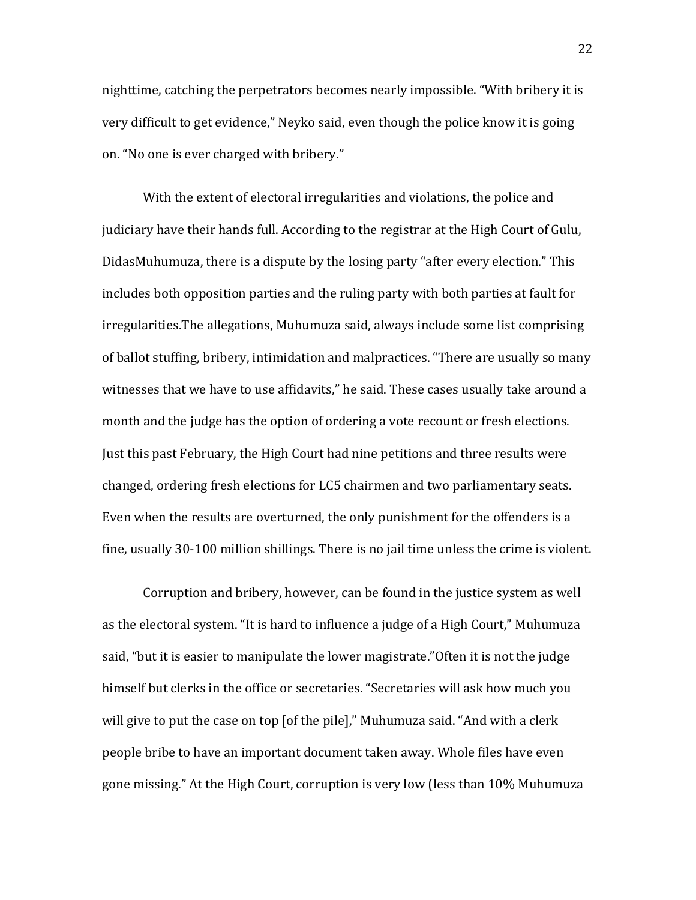nighttime, catching the perpetrators becomes nearly impossible. "With bribery it is very difficult to get evidence," Neyko said, even though the police know it is going on. "No one is ever charged with bribery."

With the extent of electoral irregularities and violations, the police and judiciary have their hands full. According to the registrar at the High Court of Gulu, DidasMuhumuza, there is a dispute by the losing party "after every election." This includes both opposition parties and the ruling party with both parties at fault for irregularities.The allegations, Muhumuza said, always include some list comprising of ballot stuffing, bribery, intimidation and malpractices. "There are usually so many witnesses that we have to use affidavits," he said. These cases usually take around a month and the judge has the option of ordering a vote recount or fresh elections. Just this past February, the High Court had nine petitions and three results were changed, ordering fresh elections for LC5 chairmen and two parliamentary seats. Even when the results are overturned, the only punishment for the offenders is a fine, usually 30-100 million shillings. There is no jail time unless the crime is violent.

Corruption and bribery, however, can be found in the justice system as well as the electoral system. "It is hard to influence a judge of a High Court," Muhumuza said, "but it is easier to manipulate the lower magistrate."Often it is not the judge himself but clerks in the office or secretaries. "Secretaries will ask how much you will give to put the case on top [of the pile]," Muhumuza said. "And with a clerk people bribe to have an important document taken away. Whole files have even gone missing." At the High Court, corruption is very low (less than 10% Muhumuza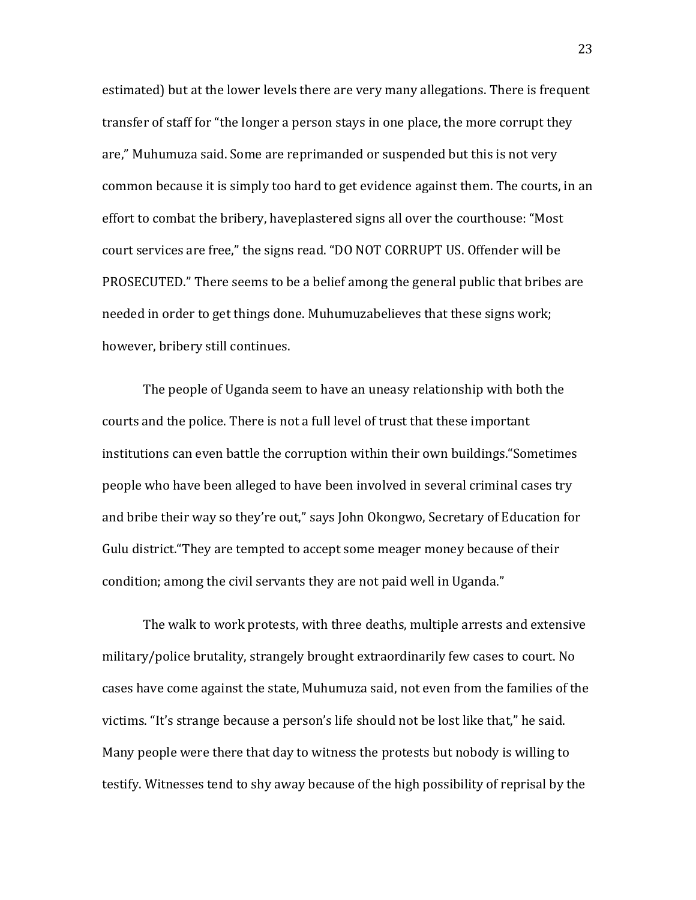estimated) but at the lower levels there are very many allegations. There is frequent transfer of staff for "the longer a person stays in one place, the more corrupt they are," Muhumuza said. Some are reprimanded or suspended but this is not very common because it is simply too hard to get evidence against them. The courts, in an effort to combat the bribery, haveplastered signs all over the courthouse: "Most court services are free," the signs read. "DO NOT CORRUPT US. Offender will be PROSECUTED." There seems to be a belief among the general public that bribes are needed in order to get things done. Muhumuzabelieves that these signs work; however, bribery still continues.

The people of Uganda seem to have an uneasy relationship with both the courts and the police. There is not a full level of trust that these important institutions can even battle the corruption within their own buildings."Sometimes people who have been alleged to have been involved in several criminal cases try and bribe their way so they're out," says John Okongwo, Secretary of Education for Gulu district."They are tempted to accept some meager money because of their condition; among the civil servants they are not paid well in Uganda."

The walk to work protests, with three deaths, multiple arrests and extensive military/police brutality, strangely brought extraordinarily few cases to court. No cases have come against the state, Muhumuza said, not even from the families of the victims. "It's strange because a person's life should not be lost like that," he said. Many people were there that day to witness the protests but nobody is willing to testify. Witnesses tend to shy away because of the high possibility of reprisal by the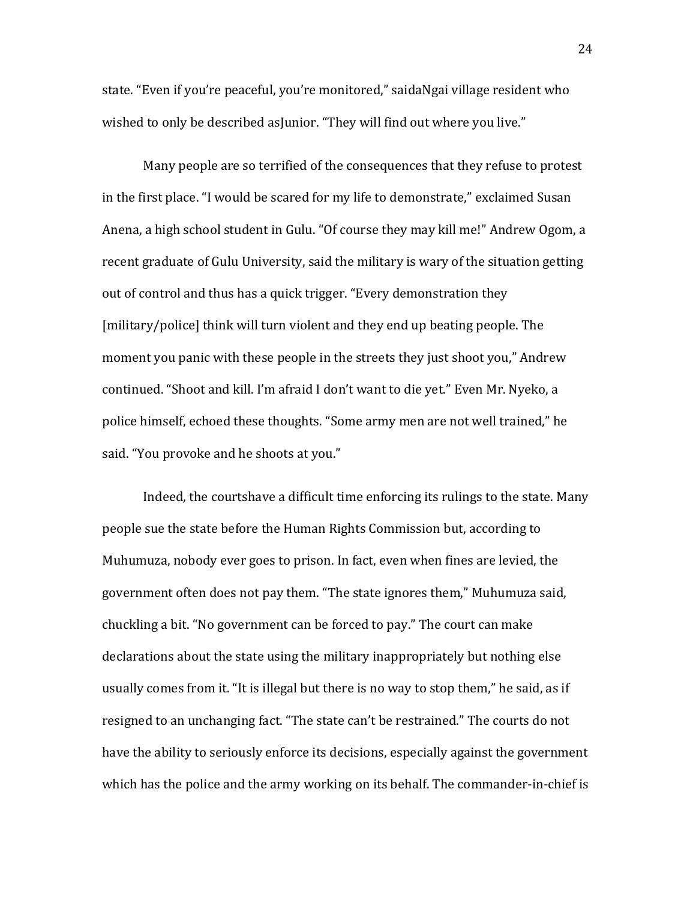state. "Even if you're peaceful, you're monitored," saidaNgai village resident who wished to only be described as Junior. "They will find out where you live."

Many people are so terrified of the consequences that they refuse to protest in the first place. "I would be scared for my life to demonstrate," exclaimed Susan Anena, a high school student in Gulu. "Of course they may kill me!" Andrew Ogom, a recent graduate of Gulu University, said the military is wary of the situation getting out of control and thus has a quick trigger. "Every demonstration they [military/police] think will turn violent and they end up beating people. The moment you panic with these people in the streets they just shoot you," Andrew continued. "Shoot and kill. I'm afraid I don't want to die yet." Even Mr. Nyeko, a police himself, echoed these thoughts. "Some army men are not well trained," he said. "You provoke and he shoots at you."

Indeed, the courtshave a difficult time enforcing its rulings to the state. Many people sue the state before the Human Rights Commission but, according to Muhumuza, nobody ever goes to prison. In fact, even when fines are levied, the government often does not pay them. "The state ignores them," Muhumuza said, chuckling a bit. "No government can be forced to pay." The court can make declarations about the state using the military inappropriately but nothing else usually comes from it. "It is illegal but there is no way to stop them," he said, as if resigned to an unchanging fact. "The state can't be restrained." The courts do not have the ability to seriously enforce its decisions, especially against the government which has the police and the army working on its behalf. The commander-in-chief is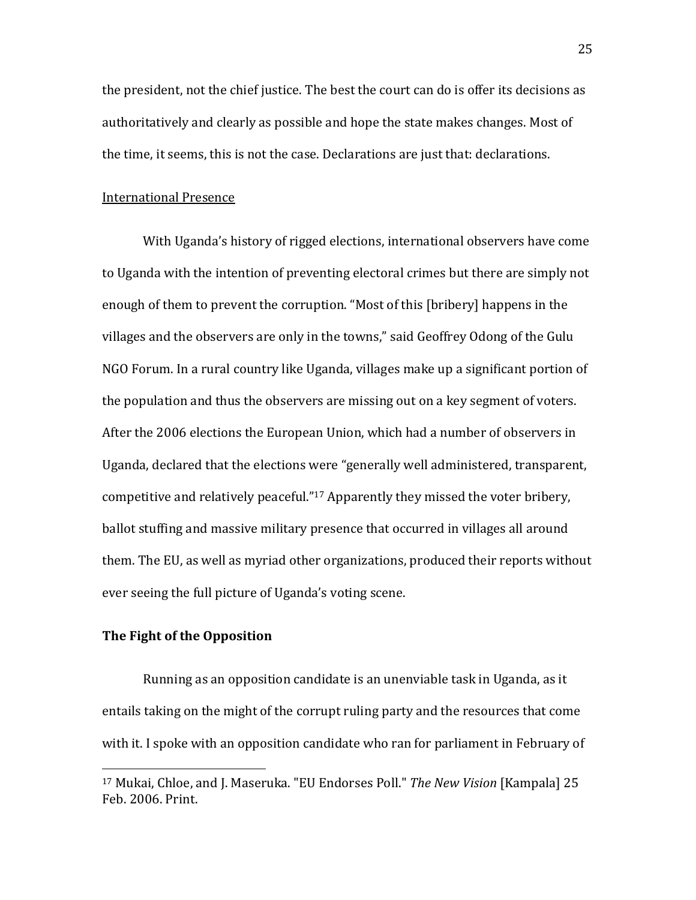the president, not the chief justice. The best the court can do is offer its decisions as authoritatively and clearly as possible and hope the state makes changes. Most of the time, it seems, this is not the case. Declarations are just that: declarations.

#### International Presence

With Uganda's history of rigged elections, international observers have come to Uganda with the intention of preventing electoral crimes but there are simply not enough of them to prevent the corruption. "Most of this [bribery] happens in the villages and the observers are only in the towns," said Geoffrey Odong of the Gulu NGO Forum. In a rural country like Uganda, villages make up a significant portion of the population and thus the observers are missing out on a key segment of voters. After the 2006 elections the European Union, which had a number of observers in Uganda, declared that the elections were "generally well administered, transparent, competitive and relatively peaceful."17 Apparently they missed the voter bribery, ballot stuffing and massive military presence that occurred in villages all around them. The EU, as well as myriad other organizations, produced their reports without ever seeing the full picture of Uganda's voting scene.

# The Fight of the Opposition

 $\overline{a}$ 

Running as an opposition candidate is an unenviable task in Uganda, as it entails taking on the might of the corrupt ruling party and the resources that come with it. I spoke with an opposition candidate who ran for parliament in February of

<sup>&</sup>lt;sup>17</sup> Mukai, Chloe, and J. Maseruka. "EU Endorses Poll." The New Vision [Kampala] 25 Feb. 2006. Print.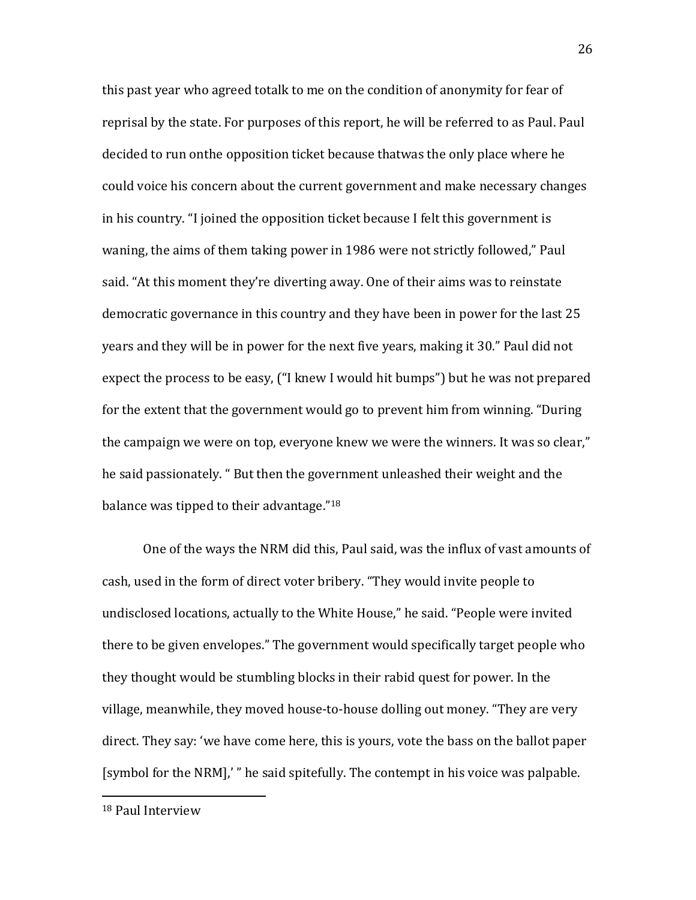this past year who agreed totalk to me on the condition of anonymity for fear of reprisal by the state. For purposes of this report, he will be referred to as Paul. Paul decided to run onthe opposition ticket because thatwas the only place where he could voice his concern about the current government and make necessary changes in his country. "I joined the opposition ticket because I felt this government is waning, the aims of them taking power in 1986 were not strictly followed," Paul said. "At this moment they're diverting away. One of their aims was to reinstate democratic governance in this country and they have been in power for the last 25 years and they will be in power for the next five years, making it 30." Paul did not expect the process to be easy, ("I knew I would hit bumps") but he was not prepared for the extent that the government would go to prevent him from winning. "During the campaign we were on top, everyone knew we were the winners. It was so clear," he said passionately. " But then the government unleashed their weight and the balance was tipped to their advantage."<sup>18</sup>

One of the ways the NRM did this, Paul said, was the influx of vast amounts of cash, used in the form of direct voter bribery. "They would invite people to undisclosed locations, actually to the White House," he said. "People were invited there to be given envelopes." The government would specifically target people who they thought would be stumbling blocks in their rabid quest for power. In the village, meanwhile, they moved house-to-house dolling out money. "They are very direct. They say: 'we have come here, this is yours, vote the bass on the ballot paper [symbol for the NRM],' " he said spitefully. The contempt in his voice was palpable.

<u>.</u>

<sup>18</sup> Paul Interview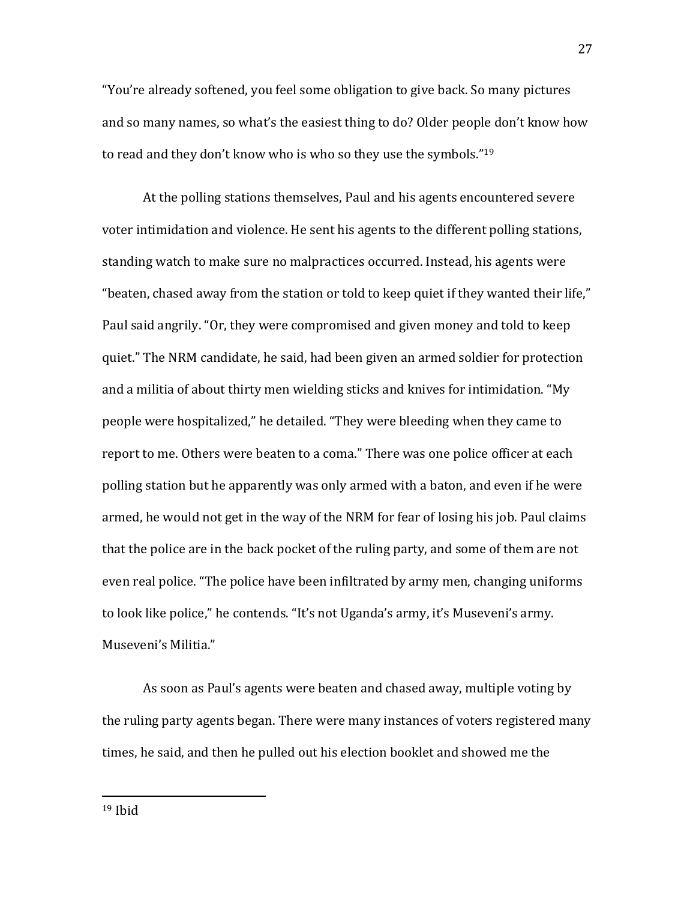"You're already softened, you feel some obligation to give back. So many pictures and so many names, so what's the easiest thing to do? Older people don't know how to read and they don't know who is who so they use the symbols."<sup>19</sup>

At the polling stations themselves, Paul and his agents encountered severe voter intimidation and violence. He sent his agents to the different polling stations, standing watch to make sure no malpractices occurred. Instead, his agents were "beaten, chased away from the station or told to keep quiet if they wanted their life," Paul said angrily. "Or, they were compromised and given money and told to keep quiet." The NRM candidate, he said, had been given an armed soldier for protection and a militia of about thirty men wielding sticks and knives for intimidation. "My people were hospitalized," he detailed. "They were bleeding when they came to report to me. Others were beaten to a coma." There was one police officer at each polling station but he apparently was only armed with a baton, and even if he were armed, he would not get in the way of the NRM for fear of losing his job. Paul claims that the police are in the back pocket of the ruling party, and some of them are not even real police. "The police have been infiltrated by army men, changing uniforms to look like police," he contends. "It's not Uganda's army, it's Museveni's army. Museveni's Militia."

As soon as Paul's agents were beaten and chased away, multiple voting by the ruling party agents began. There were many instances of voters registered many times, he said, and then he pulled out his election booklet and showed me the

<u>.</u>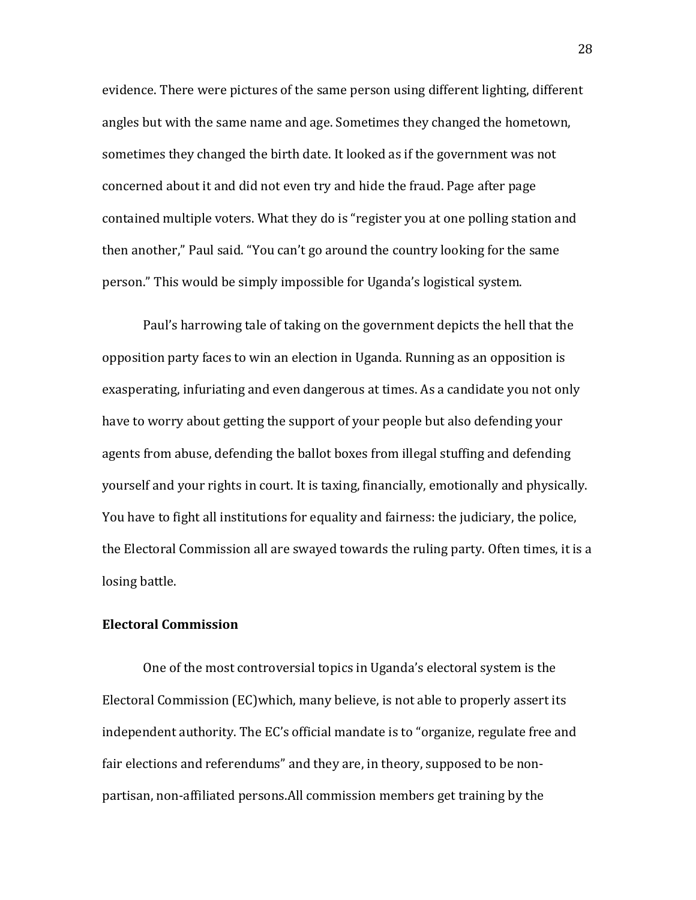evidence. There were pictures of the same person using different lighting, different angles but with the same name and age. Sometimes they changed the hometown, sometimes they changed the birth date. It looked as if the government was not concerned about it and did not even try and hide the fraud. Page after page contained multiple voters. What they do is "register you at one polling station and then another," Paul said. "You can't go around the country looking for the same person." This would be simply impossible for Uganda's logistical system.

Paul's harrowing tale of taking on the government depicts the hell that the opposition party faces to win an election in Uganda. Running as an opposition is exasperating, infuriating and even dangerous at times. As a candidate you not only have to worry about getting the support of your people but also defending your agents from abuse, defending the ballot boxes from illegal stuffing and defending yourself and your rights in court. It is taxing, financially, emotionally and physically. You have to fight all institutions for equality and fairness: the judiciary, the police, the Electoral Commission all are swayed towards the ruling party. Often times, it is a losing battle.

# Electoral Commission

One of the most controversial topics in Uganda's electoral system is the Electoral Commission (EC)which, many believe, is not able to properly assert its independent authority. The EC's official mandate is to "organize, regulate free and fair elections and referendums" and they are, in theory, supposed to be nonpartisan, non-affiliated persons.All commission members get training by the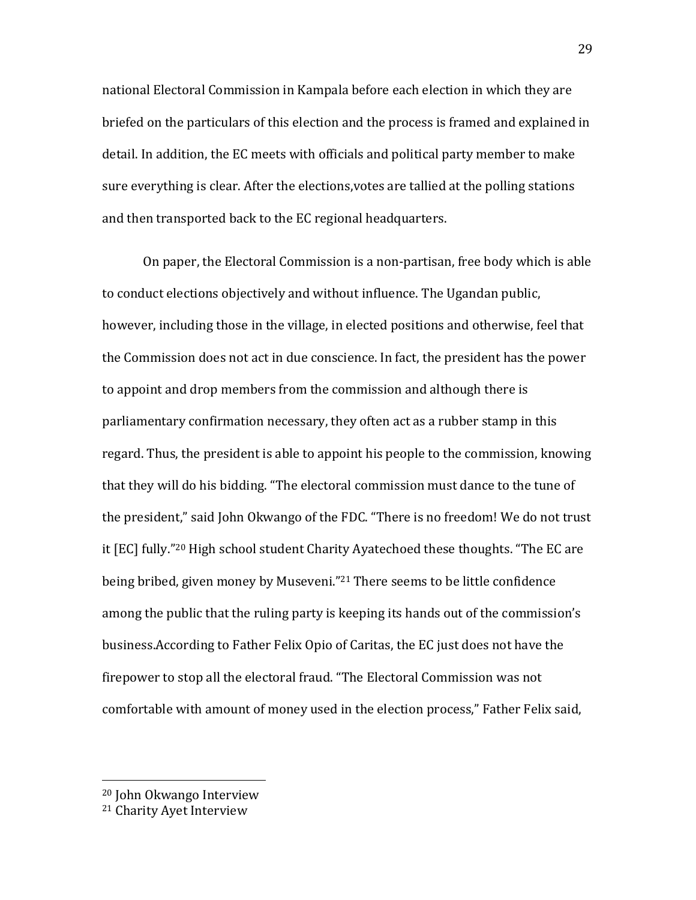national Electoral Commission in Kampala before each election in which they are briefed on the particulars of this election and the process is framed and explained in detail. In addition, the EC meets with officials and political party member to make sure everything is clear. After the elections,votes are tallied at the polling stations and then transported back to the EC regional headquarters.

On paper, the Electoral Commission is a non-partisan, free body which is able to conduct elections objectively and without influence. The Ugandan public, however, including those in the village, in elected positions and otherwise, feel that the Commission does not act in due conscience. In fact, the president has the power to appoint and drop members from the commission and although there is parliamentary confirmation necessary, they often act as a rubber stamp in this regard. Thus, the president is able to appoint his people to the commission, knowing that they will do his bidding. "The electoral commission must dance to the tune of the president," said John Okwango of the FDC. "There is no freedom! We do not trust it [EC] fully."20 High school student Charity Ayatechoed these thoughts. "The EC are being bribed, given money by Museveni."<sup>21</sup> There seems to be little confidence among the public that the ruling party is keeping its hands out of the commission's business.According to Father Felix Opio of Caritas, the EC just does not have the firepower to stop all the electoral fraud. "The Electoral Commission was not comfortable with amount of money used in the election process," Father Felix said,

 $\overline{a}$ 

<sup>20</sup> John Okwango Interview

<sup>21</sup> Charity Ayet Interview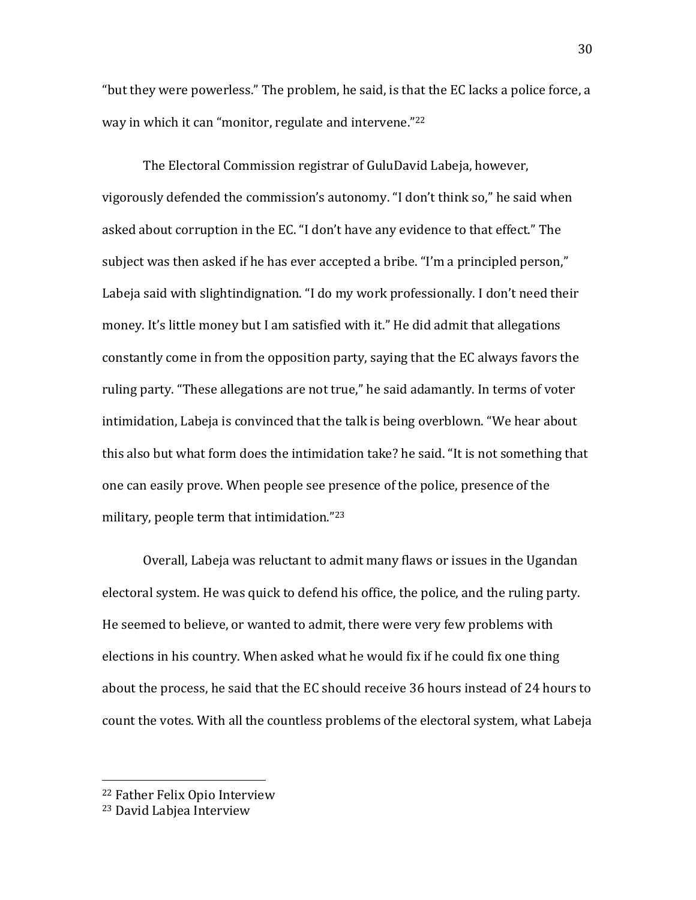"but they were powerless." The problem, he said, is that the EC lacks a police force, a way in which it can "monitor, regulate and intervene."<sup>22</sup>

The Electoral Commission registrar of GuluDavid Labeja, however, vigorously defended the commission's autonomy. "I don't think so," he said when asked about corruption in the EC. "I don't have any evidence to that effect." The subject was then asked if he has ever accepted a bribe. "I'm a principled person," Labeja said with slightindignation. "I do my work professionally. I don't need their money. It's little money but I am satisfied with it." He did admit that allegations constantly come in from the opposition party, saying that the EC always favors the ruling party. "These allegations are not true," he said adamantly. In terms of voter intimidation, Labeja is convinced that the talk is being overblown. "We hear about this also but what form does the intimidation take? he said. "It is not something that one can easily prove. When people see presence of the police, presence of the military, people term that intimidation."<sup>23</sup>

Overall, Labeja was reluctant to admit many flaws or issues in the Ugandan electoral system. He was quick to defend his office, the police, and the ruling party. He seemed to believe, or wanted to admit, there were very few problems with elections in his country. When asked what he would fix if he could fix one thing about the process, he said that the EC should receive 36 hours instead of 24 hours to count the votes. With all the countless problems of the electoral system, what Labeja

 $\overline{a}$ 

<sup>22</sup> Father Felix Opio Interview

<sup>23</sup> David Labjea Interview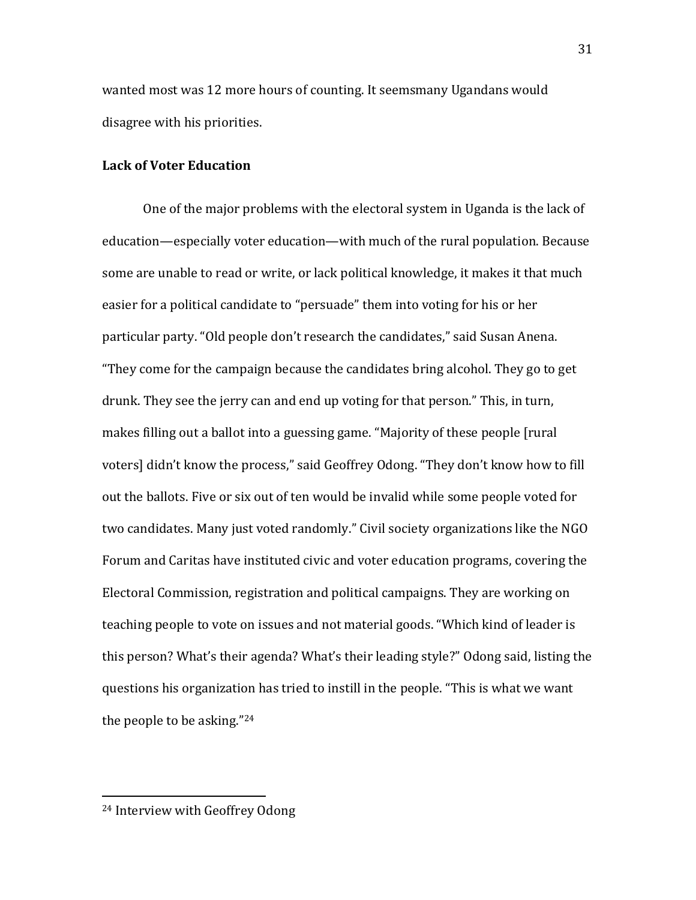wanted most was 12 more hours of counting. It seemsmany Ugandans would disagree with his priorities.

# Lack of Voter Education

One of the major problems with the electoral system in Uganda is the lack of education—especially voter education—with much of the rural population. Because some are unable to read or write, or lack political knowledge, it makes it that much easier for a political candidate to "persuade" them into voting for his or her particular party. "Old people don't research the candidates," said Susan Anena. "They come for the campaign because the candidates bring alcohol. They go to get drunk. They see the jerry can and end up voting for that person." This, in turn, makes filling out a ballot into a guessing game. "Majority of these people [rural voters] didn't know the process," said Geoffrey Odong. "They don't know how to fill out the ballots. Five or six out of ten would be invalid while some people voted for two candidates. Many just voted randomly." Civil society organizations like the NGO Forum and Caritas have instituted civic and voter education programs, covering the Electoral Commission, registration and political campaigns. They are working on teaching people to vote on issues and not material goods. "Which kind of leader is this person? What's their agenda? What's their leading style?" Odong said, listing the questions his organization has tried to instill in the people. "This is what we want the people to be asking."<sup>24</sup>

<u>.</u>

<sup>24</sup> Interview with Geoffrey Odong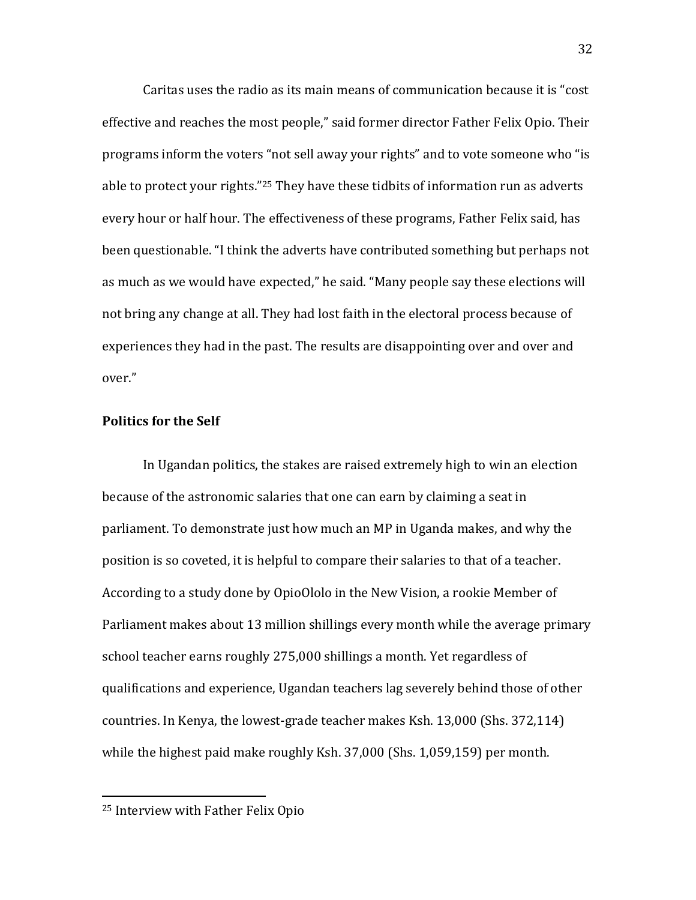Caritas uses the radio as its main means of communication because it is "cost effective and reaches the most people," said former director Father Felix Opio. Their programs inform the voters "not sell away your rights" and to vote someone who "is able to protect your rights."<sup>25</sup> They have these tidbits of information run as adverts every hour or half hour. The effectiveness of these programs, Father Felix said, has been questionable. "I think the adverts have contributed something but perhaps not as much as we would have expected," he said. "Many people say these elections will not bring any change at all. They had lost faith in the electoral process because of experiences they had in the past. The results are disappointing over and over and over."

# Politics for the Self

In Ugandan politics, the stakes are raised extremely high to win an election because of the astronomic salaries that one can earn by claiming a seat in parliament. To demonstrate just how much an MP in Uganda makes, and why the position is so coveted, it is helpful to compare their salaries to that of a teacher. According to a study done by OpioOlolo in the New Vision, a rookie Member of Parliament makes about 13 million shillings every month while the average primary school teacher earns roughly 275,000 shillings a month. Yet regardless of qualifications and experience, Ugandan teachers lag severely behind those of other countries. In Kenya, the lowest-grade teacher makes Ksh. 13,000 (Shs. 372,114) while the highest paid make roughly Ksh. 37,000 (Shs. 1,059,159) per month.

 $\overline{a}$ 

<sup>25</sup> Interview with Father Felix Opio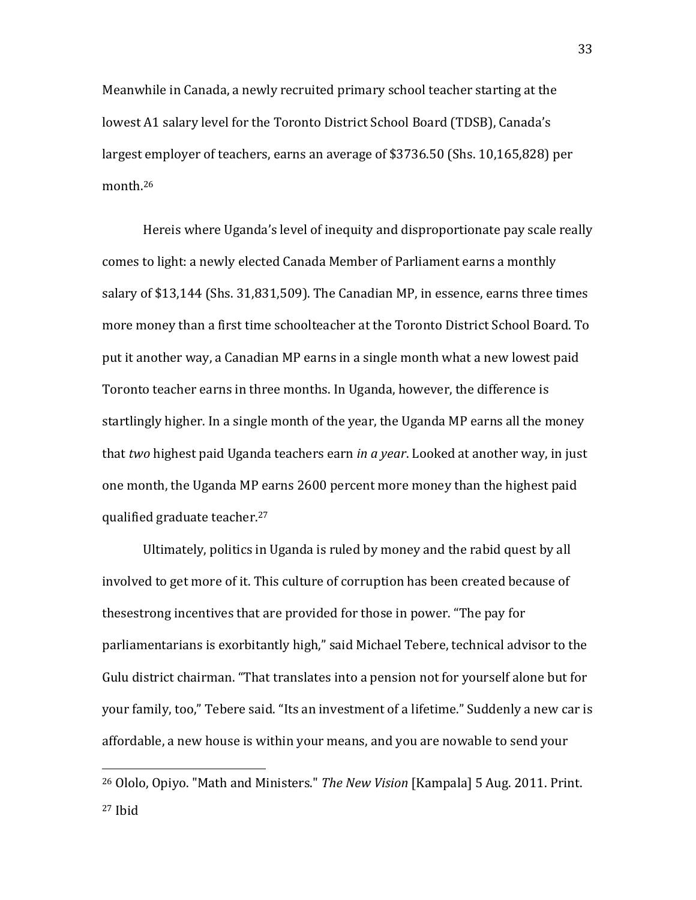Meanwhile in Canada, a newly recruited primary school teacher starting at the lowest A1 salary level for the Toronto District School Board (TDSB), Canada's largest employer of teachers, earns an average of \$3736.50 (Shs. 10,165,828) per month.<sup>26</sup>

Hereis where Uganda's level of inequity and disproportionate pay scale really comes to light: a newly elected Canada Member of Parliament earns a monthly salary of \$13,144 (Shs. 31,831,509). The Canadian MP, in essence, earns three times more money than a first time schoolteacher at the Toronto District School Board. To put it another way, a Canadian MP earns in a single month what a new lowest paid Toronto teacher earns in three months. In Uganda, however, the difference is startlingly higher. In a single month of the year, the Uganda MP earns all the money that two highest paid Uganda teachers earn in a year. Looked at another way, in just one month, the Uganda MP earns 2600 percent more money than the highest paid qualified graduate teacher.<sup>27</sup>

Ultimately, politics in Uganda is ruled by money and the rabid quest by all involved to get more of it. This culture of corruption has been created because of thesestrong incentives that are provided for those in power. "The pay for parliamentarians is exorbitantly high," said Michael Tebere, technical advisor to the Gulu district chairman. "That translates into a pension not for yourself alone but for your family, too," Tebere said. "Its an investment of a lifetime." Suddenly a new car is affordable, a new house is within your means, and you are nowable to send your

 $\overline{a}$ 

<sup>&</sup>lt;sup>26</sup> Ololo, Opiyo. "Math and Ministers." The New Vision [Kampala] 5 Aug. 2011. Print. 27 Ibid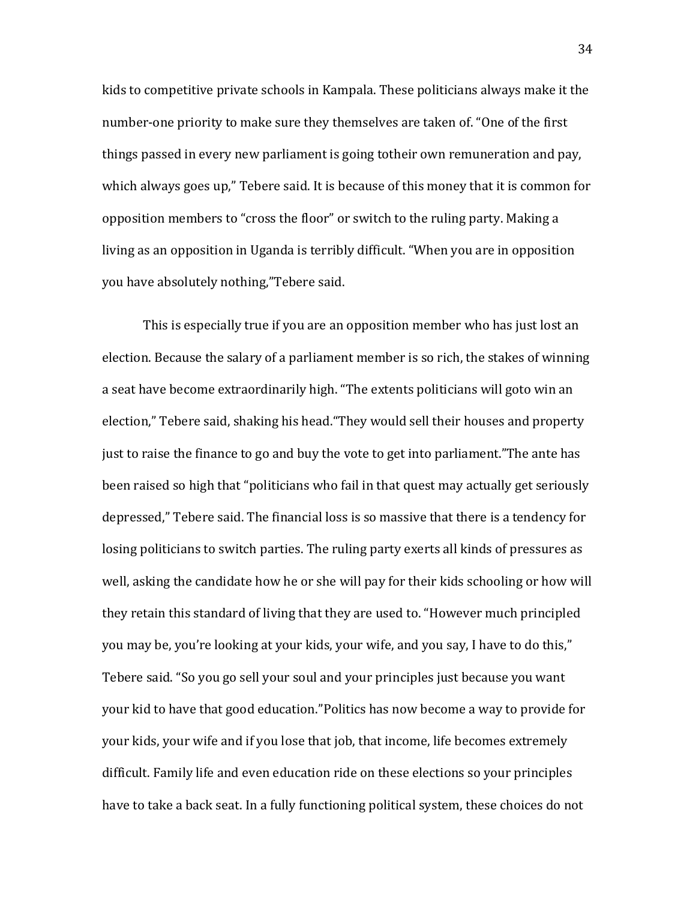kids to competitive private schools in Kampala. These politicians always make it the number-one priority to make sure they themselves are taken of. "One of the first things passed in every new parliament is going totheir own remuneration and pay, which always goes up," Tebere said. It is because of this money that it is common for opposition members to "cross the floor" or switch to the ruling party. Making a living as an opposition in Uganda is terribly difficult. "When you are in opposition you have absolutely nothing,"Tebere said.

This is especially true if you are an opposition member who has just lost an election. Because the salary of a parliament member is so rich, the stakes of winning a seat have become extraordinarily high. "The extents politicians will goto win an election," Tebere said, shaking his head."They would sell their houses and property just to raise the finance to go and buy the vote to get into parliament."The ante has been raised so high that "politicians who fail in that quest may actually get seriously depressed," Tebere said. The financial loss is so massive that there is a tendency for losing politicians to switch parties. The ruling party exerts all kinds of pressures as well, asking the candidate how he or she will pay for their kids schooling or how will they retain this standard of living that they are used to. "However much principled you may be, you're looking at your kids, your wife, and you say, I have to do this," Tebere said. "So you go sell your soul and your principles just because you want your kid to have that good education."Politics has now become a way to provide for your kids, your wife and if you lose that job, that income, life becomes extremely difficult. Family life and even education ride on these elections so your principles have to take a back seat. In a fully functioning political system, these choices do not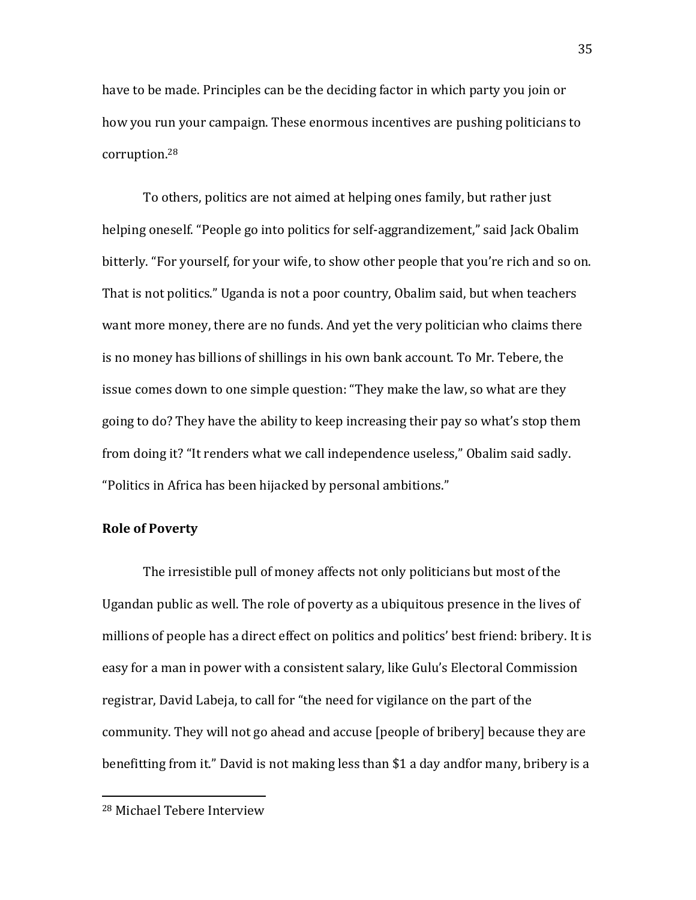have to be made. Principles can be the deciding factor in which party you join or how you run your campaign. These enormous incentives are pushing politicians to corruption.<sup>28</sup>

To others, politics are not aimed at helping ones family, but rather just helping oneself. "People go into politics for self-aggrandizement," said Jack Obalim bitterly. "For yourself, for your wife, to show other people that you're rich and so on. That is not politics." Uganda is not a poor country, Obalim said, but when teachers want more money, there are no funds. And yet the very politician who claims there is no money has billions of shillings in his own bank account. To Mr. Tebere, the issue comes down to one simple question: "They make the law, so what are they going to do? They have the ability to keep increasing their pay so what's stop them from doing it? "It renders what we call independence useless," Obalim said sadly. "Politics in Africa has been hijacked by personal ambitions."

# Role of Poverty

The irresistible pull of money affects not only politicians but most of the Ugandan public as well. The role of poverty as a ubiquitous presence in the lives of millions of people has a direct effect on politics and politics' best friend: bribery. It is easy for a man in power with a consistent salary, like Gulu's Electoral Commission registrar, David Labeja, to call for "the need for vigilance on the part of the community. They will not go ahead and accuse [people of bribery] because they are benefitting from it." David is not making less than \$1 a day andfor many, bribery is a

<u>.</u>

<sup>28</sup> Michael Tebere Interview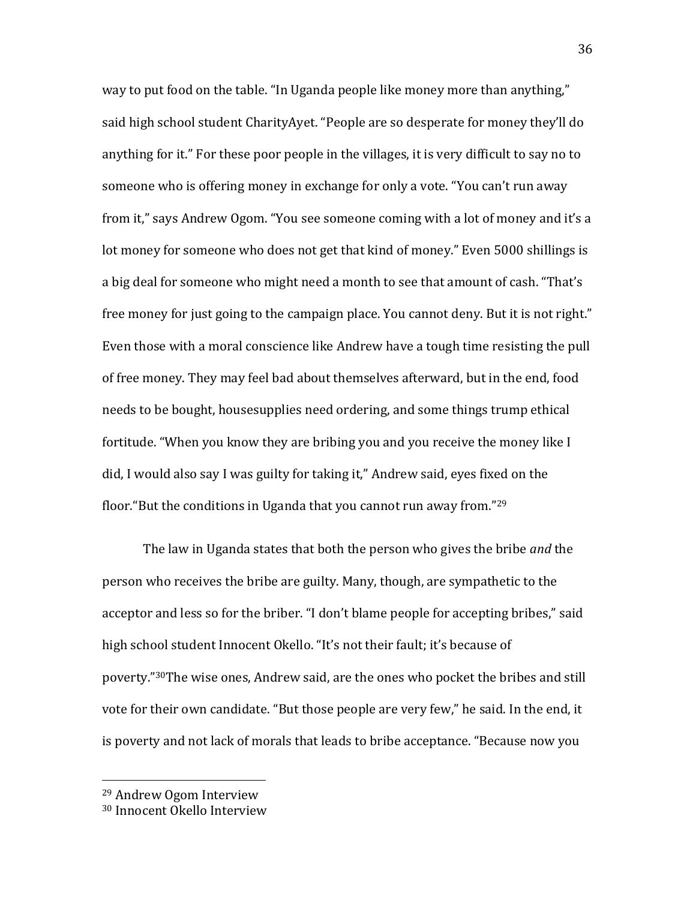way to put food on the table. "In Uganda people like money more than anything," said high school student CharityAyet. "People are so desperate for money they'll do anything for it." For these poor people in the villages, it is very difficult to say no to someone who is offering money in exchange for only a vote. "You can't run away from it," says Andrew Ogom. "You see someone coming with a lot of money and it's a lot money for someone who does not get that kind of money." Even 5000 shillings is a big deal for someone who might need a month to see that amount of cash. "That's free money for just going to the campaign place. You cannot deny. But it is not right." Even those with a moral conscience like Andrew have a tough time resisting the pull of free money. They may feel bad about themselves afterward, but in the end, food needs to be bought, housesupplies need ordering, and some things trump ethical fortitude. "When you know they are bribing you and you receive the money like I did, I would also say I was guilty for taking it," Andrew said, eyes fixed on the floor."But the conditions in Uganda that you cannot run away from."<sup>29</sup>

The law in Uganda states that both the person who gives the bribe *and* the person who receives the bribe are guilty. Many, though, are sympathetic to the acceptor and less so for the briber. "I don't blame people for accepting bribes," said high school student Innocent Okello. "It's not their fault; it's because of poverty."30The wise ones, Andrew said, are the ones who pocket the bribes and still vote for their own candidate. "But those people are very few," he said. In the end, it is poverty and not lack of morals that leads to bribe acceptance. "Because now you

 $\overline{a}$ 

<sup>29</sup> Andrew Ogom Interview

<sup>30</sup> Innocent Okello Interview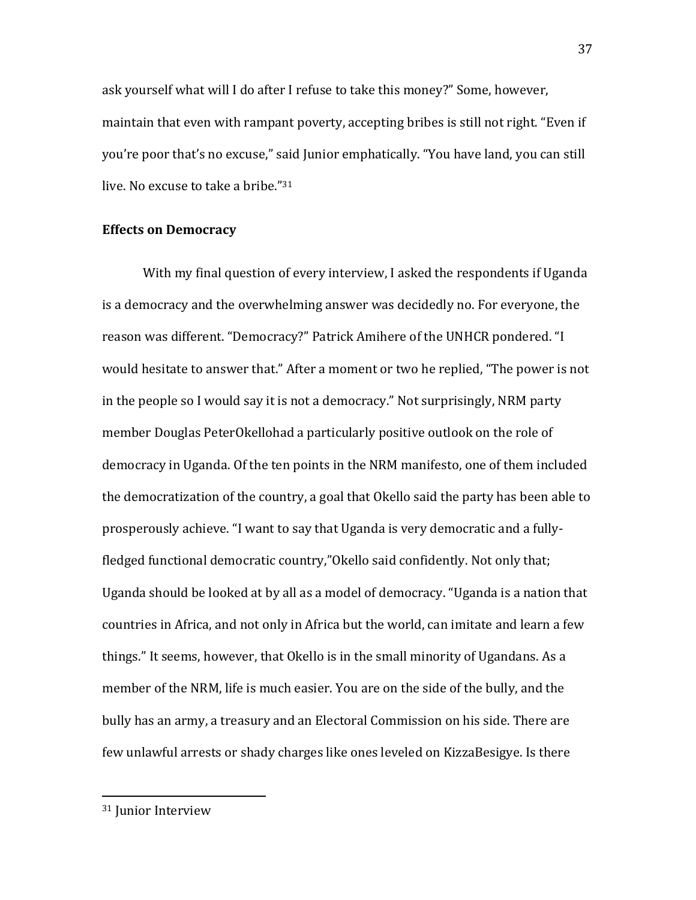ask yourself what will I do after I refuse to take this money?" Some, however, maintain that even with rampant poverty, accepting bribes is still not right. "Even if you're poor that's no excuse," said Junior emphatically. "You have land, you can still live. No excuse to take a bribe."<sup>31</sup>

# Effects on Democracy

With my final question of every interview, I asked the respondents if Uganda is a democracy and the overwhelming answer was decidedly no. For everyone, the reason was different. "Democracy?" Patrick Amihere of the UNHCR pondered. "I would hesitate to answer that." After a moment or two he replied, "The power is not in the people so I would say it is not a democracy." Not surprisingly, NRM party member Douglas PeterOkellohad a particularly positive outlook on the role of democracy in Uganda. Of the ten points in the NRM manifesto, one of them included the democratization of the country, a goal that Okello said the party has been able to prosperously achieve. "I want to say that Uganda is very democratic and a fullyfledged functional democratic country,"Okello said confidently. Not only that; Uganda should be looked at by all as a model of democracy. "Uganda is a nation that countries in Africa, and not only in Africa but the world, can imitate and learn a few things." It seems, however, that Okello is in the small minority of Ugandans. As a member of the NRM, life is much easier. You are on the side of the bully, and the bully has an army, a treasury and an Electoral Commission on his side. There are few unlawful arrests or shady charges like ones leveled on KizzaBesigye. Is there

 $\overline{a}$ 

<sup>31</sup> Junior Interview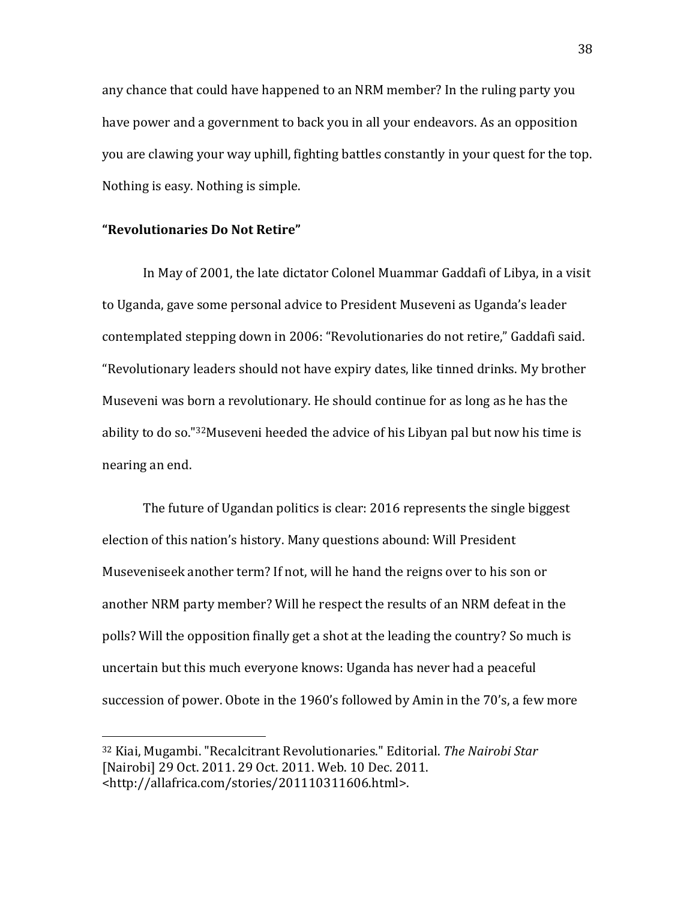any chance that could have happened to an NRM member? In the ruling party you have power and a government to back you in all your endeavors. As an opposition you are clawing your way uphill, fighting battles constantly in your quest for the top. Nothing is easy. Nothing is simple.

# "Revolutionaries Do Not Retire"

 $\overline{a}$ 

In May of 2001, the late dictator Colonel Muammar Gaddafi of Libya, in a visit to Uganda, gave some personal advice to President Museveni as Uganda's leader contemplated stepping down in 2006: "Revolutionaries do not retire," Gaddafi said. "Revolutionary leaders should not have expiry dates, like tinned drinks. My brother Museveni was born a revolutionary. He should continue for as long as he has the ability to do so."32Museveni heeded the advice of his Libyan pal but now his time is nearing an end.

The future of Ugandan politics is clear: 2016 represents the single biggest election of this nation's history. Many questions abound: Will President Museveniseek another term? If not, will he hand the reigns over to his son or another NRM party member? Will he respect the results of an NRM defeat in the polls? Will the opposition finally get a shot at the leading the country? So much is uncertain but this much everyone knows: Uganda has never had a peaceful succession of power. Obote in the 1960's followed by Amin in the 70's, a few more

<sup>32</sup> Kiai, Mugambi. "Recalcitrant Revolutionaries." Editorial. The Nairobi Star [Nairobi] 29 Oct. 2011. 29 Oct. 2011. Web. 10 Dec. 2011. <http://allafrica.com/stories/201110311606.html>.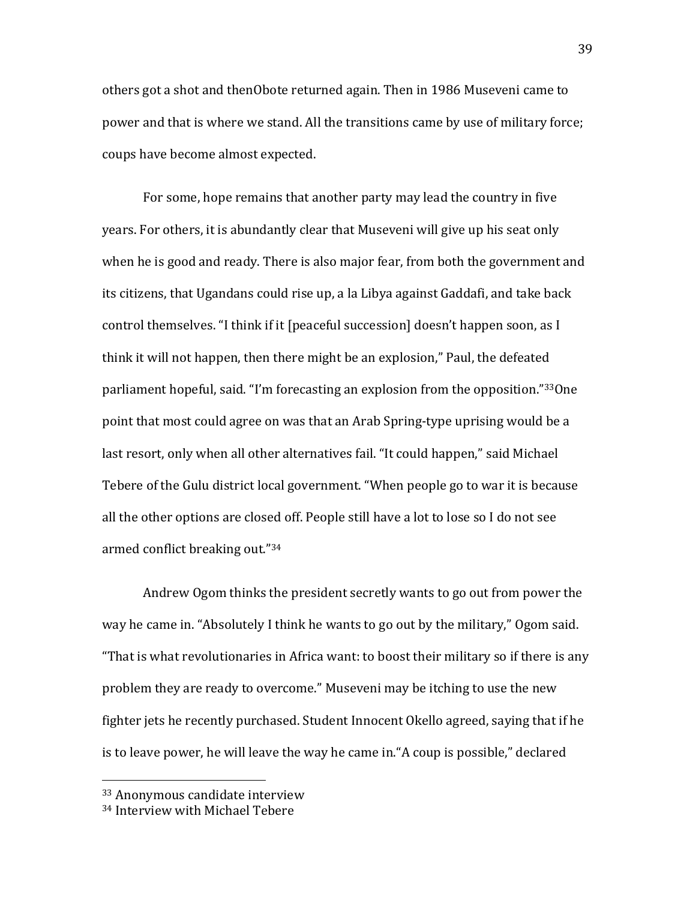others got a shot and thenObote returned again. Then in 1986 Museveni came to power and that is where we stand. All the transitions came by use of military force; coups have become almost expected.

For some, hope remains that another party may lead the country in five years. For others, it is abundantly clear that Museveni will give up his seat only when he is good and ready. There is also major fear, from both the government and its citizens, that Ugandans could rise up, a la Libya against Gaddafi, and take back control themselves. "I think if it [peaceful succession] doesn't happen soon, as I think it will not happen, then there might be an explosion," Paul, the defeated parliament hopeful, said. "I'm forecasting an explosion from the opposition."33One point that most could agree on was that an Arab Spring-type uprising would be a last resort, only when all other alternatives fail. "It could happen," said Michael Tebere of the Gulu district local government. "When people go to war it is because all the other options are closed off. People still have a lot to lose so I do not see armed conflict breaking out."<sup>34</sup>

Andrew Ogom thinks the president secretly wants to go out from power the way he came in. "Absolutely I think he wants to go out by the military," Ogom said. "That is what revolutionaries in Africa want: to boost their military so if there is any problem they are ready to overcome." Museveni may be itching to use the new fighter jets he recently purchased. Student Innocent Okello agreed, saying that if he is to leave power, he will leave the way he came in."A coup is possible," declared

<sup>33</sup> Anonymous candidate interview

<sup>34</sup> Interview with Michael Tebere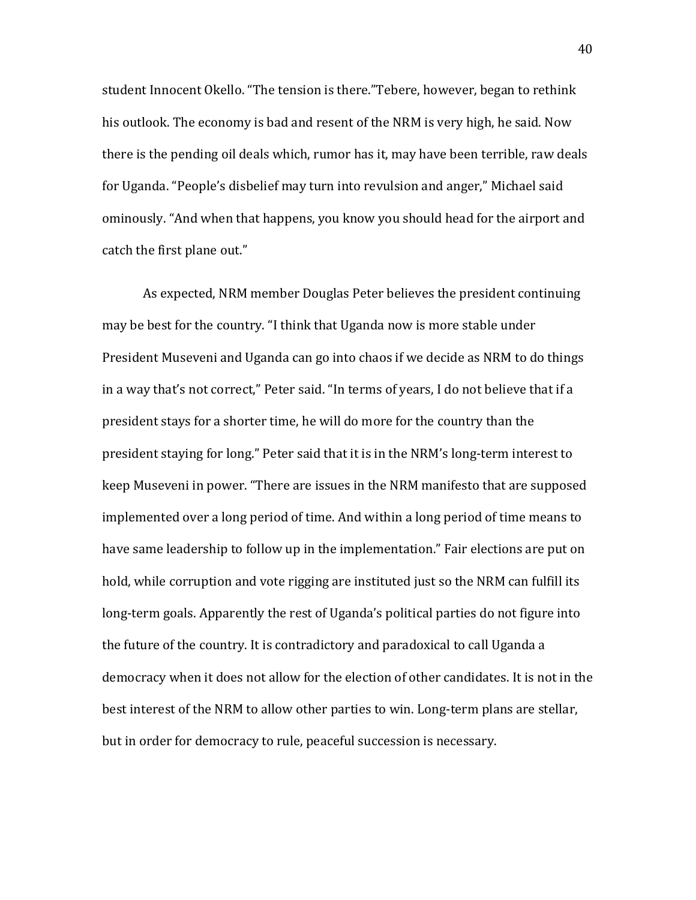student Innocent Okello. "The tension is there."Tebere, however, began to rethink his outlook. The economy is bad and resent of the NRM is very high, he said. Now there is the pending oil deals which, rumor has it, may have been terrible, raw deals for Uganda. "People's disbelief may turn into revulsion and anger," Michael said ominously. "And when that happens, you know you should head for the airport and catch the first plane out."

As expected, NRM member Douglas Peter believes the president continuing may be best for the country. "I think that Uganda now is more stable under President Museveni and Uganda can go into chaos if we decide as NRM to do things in a way that's not correct," Peter said. "In terms of years, I do not believe that if a president stays for a shorter time, he will do more for the country than the president staying for long." Peter said that it is in the NRM's long-term interest to keep Museveni in power. "There are issues in the NRM manifesto that are supposed implemented over a long period of time. And within a long period of time means to have same leadership to follow up in the implementation." Fair elections are put on hold, while corruption and vote rigging are instituted just so the NRM can fulfill its long-term goals. Apparently the rest of Uganda's political parties do not figure into the future of the country. It is contradictory and paradoxical to call Uganda a democracy when it does not allow for the election of other candidates. It is not in the best interest of the NRM to allow other parties to win. Long-term plans are stellar, but in order for democracy to rule, peaceful succession is necessary.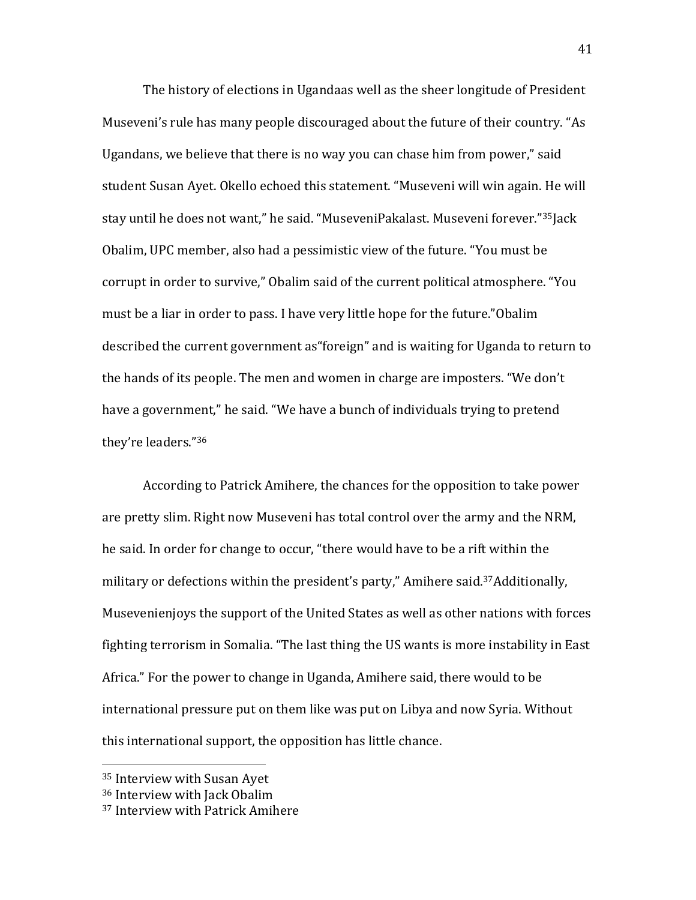The history of elections in Ugandaas well as the sheer longitude of President Museveni's rule has many people discouraged about the future of their country. "As Ugandans, we believe that there is no way you can chase him from power," said student Susan Ayet. Okello echoed this statement. "Museveni will win again. He will stay until he does not want," he said. "MuseveniPakalast. Museveni forever."35Jack Obalim, UPC member, also had a pessimistic view of the future. "You must be corrupt in order to survive," Obalim said of the current political atmosphere. "You must be a liar in order to pass. I have very little hope for the future."Obalim described the current government as"foreign" and is waiting for Uganda to return to the hands of its people. The men and women in charge are imposters. "We don't have a government," he said. "We have a bunch of individuals trying to pretend they're leaders."<sup>36</sup>

According to Patrick Amihere, the chances for the opposition to take power are pretty slim. Right now Museveni has total control over the army and the NRM, he said. In order for change to occur, "there would have to be a rift within the military or defections within the president's party," Amihere said.37Additionally, Musevenienjoys the support of the United States as well as other nations with forces fighting terrorism in Somalia. "The last thing the US wants is more instability in East Africa." For the power to change in Uganda, Amihere said, there would to be international pressure put on them like was put on Libya and now Syria. Without this international support, the opposition has little chance.

 $\overline{a}$ 

<sup>35</sup> Interview with Susan Ayet

<sup>36</sup> Interview with Jack Obalim

<sup>37</sup> Interview with Patrick Amihere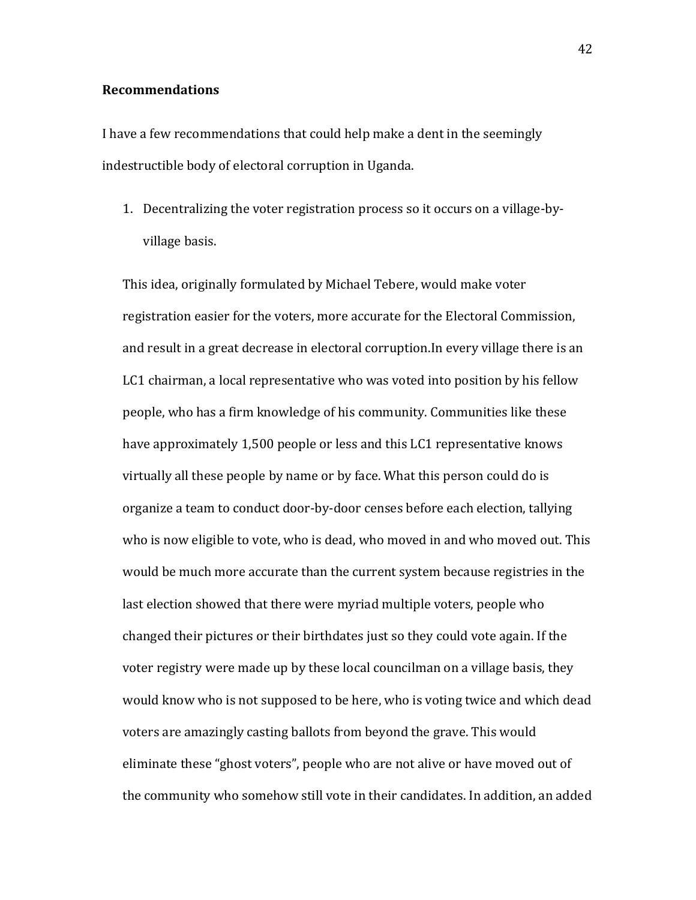# Recommendations

I have a few recommendations that could help make a dent in the seemingly indestructible body of electoral corruption in Uganda.

1. Decentralizing the voter registration process so it occurs on a village-byvillage basis.

This idea, originally formulated by Michael Tebere, would make voter registration easier for the voters, more accurate for the Electoral Commission, and result in a great decrease in electoral corruption.In every village there is an LC1 chairman, a local representative who was voted into position by his fellow people, who has a firm knowledge of his community. Communities like these have approximately 1,500 people or less and this LC1 representative knows virtually all these people by name or by face. What this person could do is organize a team to conduct door-by-door censes before each election, tallying who is now eligible to vote, who is dead, who moved in and who moved out. This would be much more accurate than the current system because registries in the last election showed that there were myriad multiple voters, people who changed their pictures or their birthdates just so they could vote again. If the voter registry were made up by these local councilman on a village basis, they would know who is not supposed to be here, who is voting twice and which dead voters are amazingly casting ballots from beyond the grave. This would eliminate these "ghost voters", people who are not alive or have moved out of the community who somehow still vote in their candidates. In addition, an added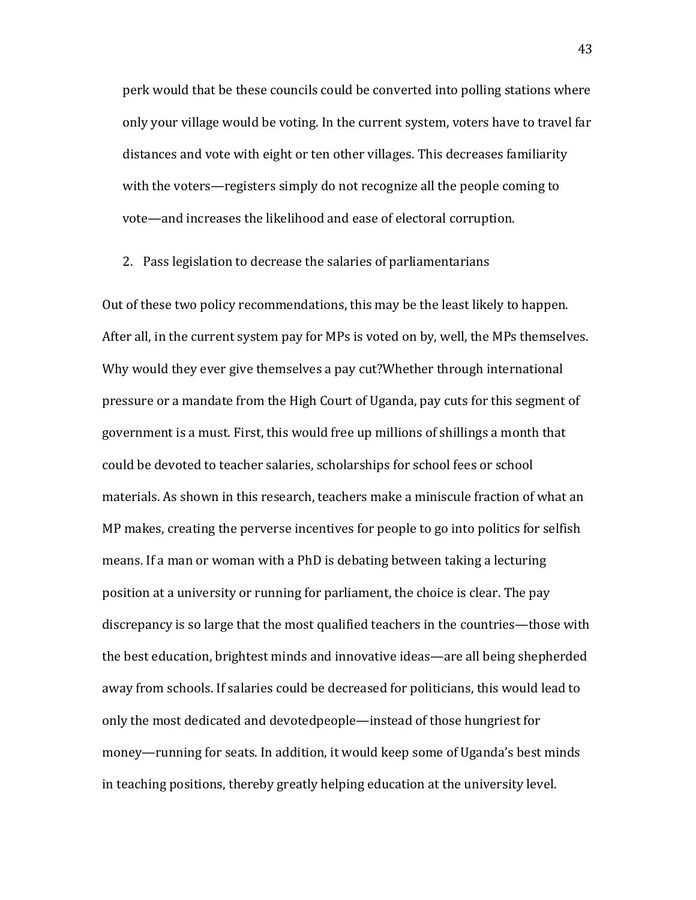perk would that be these councils could be converted into polling stations where only your village would be voting. In the current system, voters have to travel far distances and vote with eight or ten other villages. This decreases familiarity with the voters—registers simply do not recognize all the people coming to vote—and increases the likelihood and ease of electoral corruption.

2. Pass legislation to decrease the salaries of parliamentarians

Out of these two policy recommendations, this may be the least likely to happen. After all, in the current system pay for MPs is voted on by, well, the MPs themselves. Why would they ever give themselves a pay cut?Whether through international pressure or a mandate from the High Court of Uganda, pay cuts for this segment of government is a must. First, this would free up millions of shillings a month that could be devoted to teacher salaries, scholarships for school fees or school materials. As shown in this research, teachers make a miniscule fraction of what an MP makes, creating the perverse incentives for people to go into politics for selfish means. If a man or woman with a PhD is debating between taking a lecturing position at a university or running for parliament, the choice is clear. The pay discrepancy is so large that the most qualified teachers in the countries—those with the best education, brightest minds and innovative ideas—are all being shepherded away from schools. If salaries could be decreased for politicians, this would lead to only the most dedicated and devotedpeople—instead of those hungriest for money—running for seats. In addition, it would keep some of Uganda's best minds in teaching positions, thereby greatly helping education at the university level.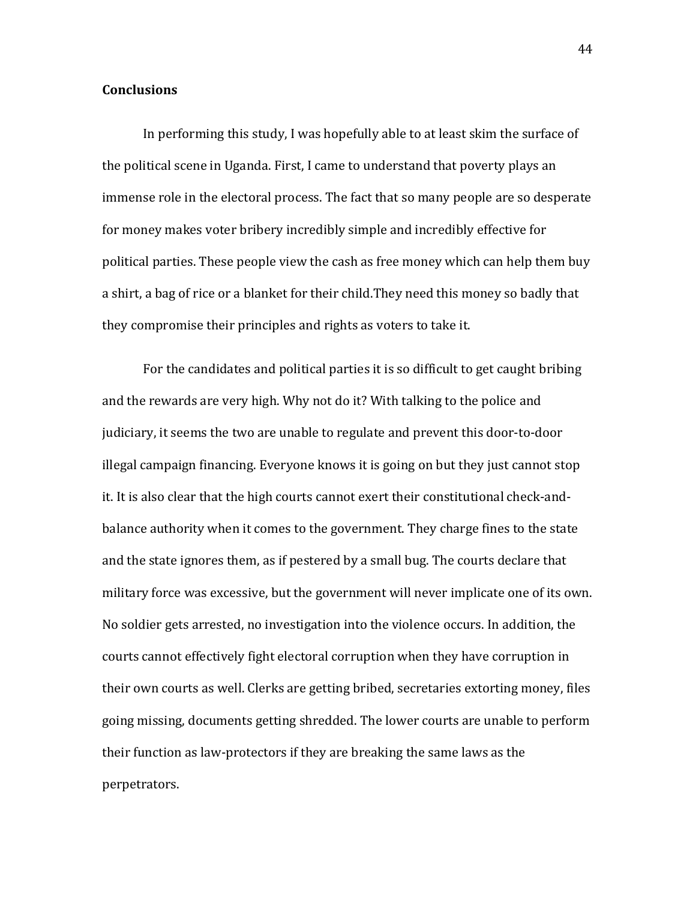# **Conclusions**

In performing this study, I was hopefully able to at least skim the surface of the political scene in Uganda. First, I came to understand that poverty plays an immense role in the electoral process. The fact that so many people are so desperate for money makes voter bribery incredibly simple and incredibly effective for political parties. These people view the cash as free money which can help them buy a shirt, a bag of rice or a blanket for their child.They need this money so badly that they compromise their principles and rights as voters to take it.

For the candidates and political parties it is so difficult to get caught bribing and the rewards are very high. Why not do it? With talking to the police and judiciary, it seems the two are unable to regulate and prevent this door-to-door illegal campaign financing. Everyone knows it is going on but they just cannot stop it. It is also clear that the high courts cannot exert their constitutional check-andbalance authority when it comes to the government. They charge fines to the state and the state ignores them, as if pestered by a small bug. The courts declare that military force was excessive, but the government will never implicate one of its own. No soldier gets arrested, no investigation into the violence occurs. In addition, the courts cannot effectively fight electoral corruption when they have corruption in their own courts as well. Clerks are getting bribed, secretaries extorting money, files going missing, documents getting shredded. The lower courts are unable to perform their function as law-protectors if they are breaking the same laws as the perpetrators.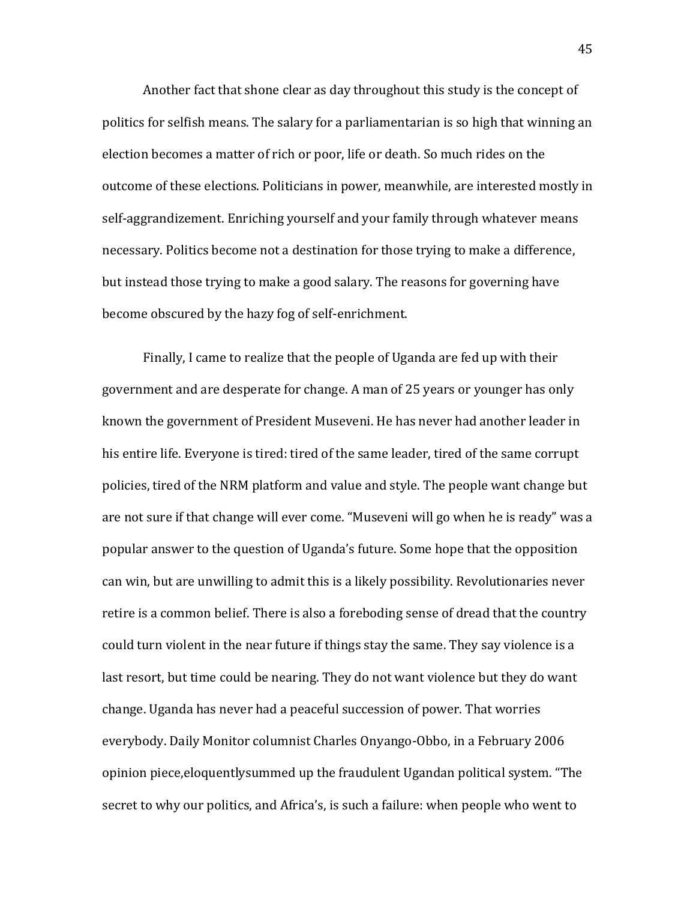Another fact that shone clear as day throughout this study is the concept of politics for selfish means. The salary for a parliamentarian is so high that winning an election becomes a matter of rich or poor, life or death. So much rides on the outcome of these elections. Politicians in power, meanwhile, are interested mostly in self-aggrandizement. Enriching yourself and your family through whatever means necessary. Politics become not a destination for those trying to make a difference, but instead those trying to make a good salary. The reasons for governing have become obscured by the hazy fog of self-enrichment.

Finally, I came to realize that the people of Uganda are fed up with their government and are desperate for change. A man of 25 years or younger has only known the government of President Museveni. He has never had another leader in his entire life. Everyone is tired: tired of the same leader, tired of the same corrupt policies, tired of the NRM platform and value and style. The people want change but are not sure if that change will ever come. "Museveni will go when he is ready" was a popular answer to the question of Uganda's future. Some hope that the opposition can win, but are unwilling to admit this is a likely possibility. Revolutionaries never retire is a common belief. There is also a foreboding sense of dread that the country could turn violent in the near future if things stay the same. They say violence is a last resort, but time could be nearing. They do not want violence but they do want change. Uganda has never had a peaceful succession of power. That worries everybody. Daily Monitor columnist Charles Onyango-Obbo, in a February 2006 opinion piece,eloquentlysummed up the fraudulent Ugandan political system. "The secret to why our politics, and Africa's, is such a failure: when people who went to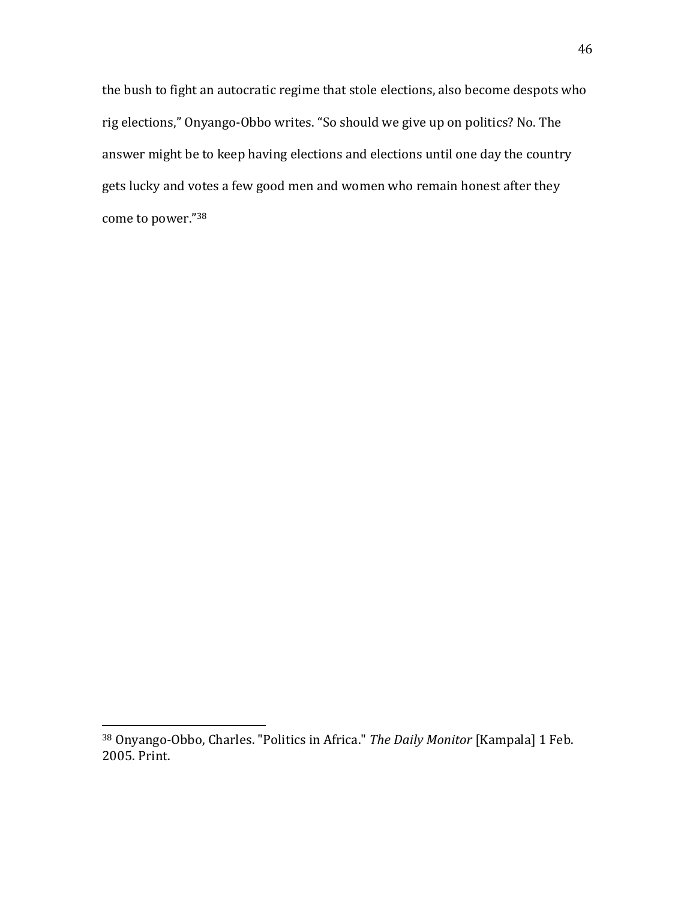the bush to fight an autocratic regime that stole elections, also become despots who rig elections," Onyango-Obbo writes. "So should we give up on politics? No. The answer might be to keep having elections and elections until one day the country gets lucky and votes a few good men and women who remain honest after they come to power."<sup>38</sup>

 $\overline{a}$ 

<sup>38</sup> Onyango-Obbo, Charles. "Politics in Africa." The Daily Monitor [Kampala] 1 Feb. 2005. Print.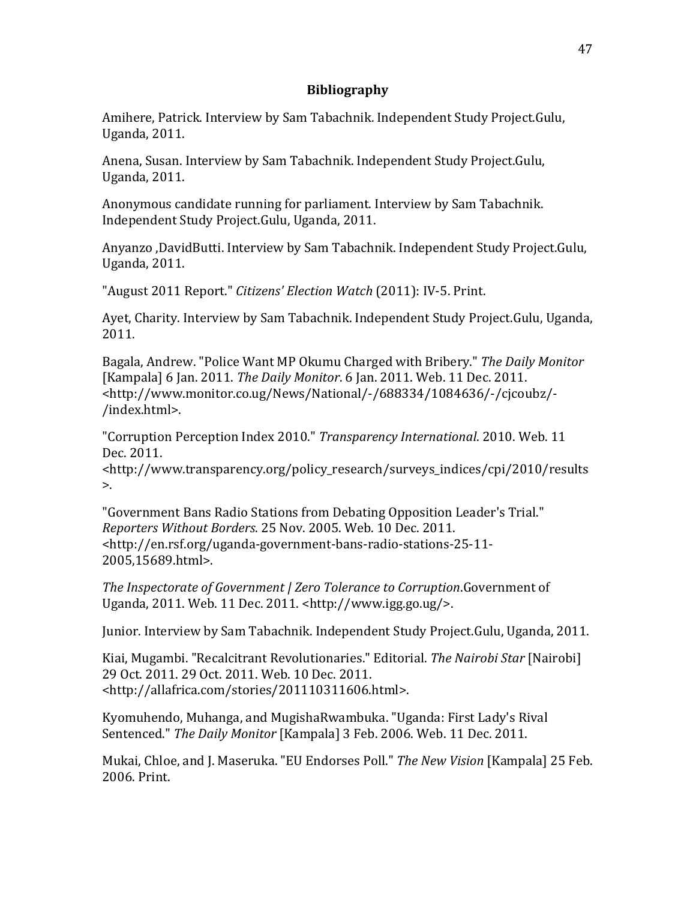# Bibliography

Amihere, Patrick. Interview by Sam Tabachnik. Independent Study Project.Gulu, Uganda, 2011.

Anena, Susan. Interview by Sam Tabachnik. Independent Study Project.Gulu, Uganda, 2011.

Anonymous candidate running for parliament. Interview by Sam Tabachnik. Independent Study Project.Gulu, Uganda, 2011.

Anyanzo ,DavidButti. Interview by Sam Tabachnik. Independent Study Project.Gulu, Uganda, 2011.

"August 2011 Report." Citizens' Election Watch (2011): IV-5. Print.

Ayet, Charity. Interview by Sam Tabachnik. Independent Study Project.Gulu, Uganda, 2011.

Bagala, Andrew. "Police Want MP Okumu Charged with Bribery." The Daily Monitor [Kampala] 6 Jan. 2011. The Daily Monitor. 6 Jan. 2011. Web. 11 Dec. 2011. <http://www.monitor.co.ug/News/National/-/688334/1084636/-/cjcoubz/- /index.html>.

"Corruption Perception Index 2010." Transparency International. 2010. Web. 11 Dec. 2011.

<http://www.transparency.org/policy\_research/surveys\_indices/cpi/2010/results  $\mathbf{L}$ 

"Government Bans Radio Stations from Debating Opposition Leader's Trial." Reporters Without Borders. 25 Nov. 2005. Web. 10 Dec. 2011. <http://en.rsf.org/uganda-government-bans-radio-stations-25-11- 2005,15689.html>.

The Inspectorate of Government | Zero Tolerance to Corruption.Government of Uganda, 2011. Web. 11 Dec. 2011. <http://www.igg.go.ug/>.

Junior. Interview by Sam Tabachnik. Independent Study Project.Gulu, Uganda, 2011.

Kiai, Mugambi. "Recalcitrant Revolutionaries." Editorial. The Nairobi Star [Nairobi] 29 Oct. 2011. 29 Oct. 2011. Web. 10 Dec. 2011. <http://allafrica.com/stories/201110311606.html>.

Kyomuhendo, Muhanga, and MugishaRwambuka. "Uganda: First Lady's Rival Sentenced." The Daily Monitor [Kampala] 3 Feb. 2006. Web. 11 Dec. 2011.

Mukai, Chloe, and J. Maseruka. "EU Endorses Poll." The New Vision [Kampala] 25 Feb. 2006. Print.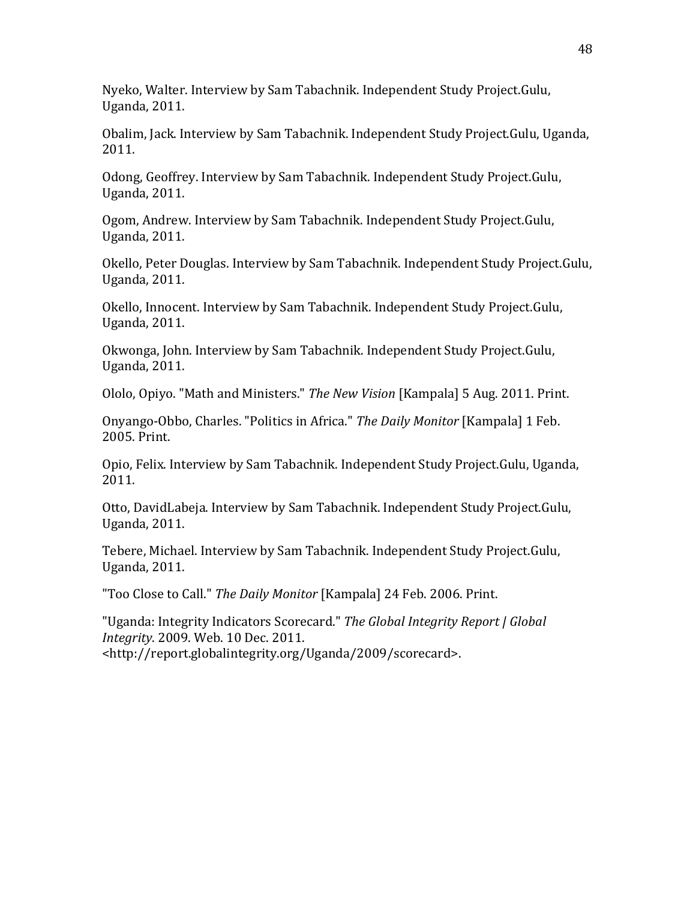Nyeko, Walter. Interview by Sam Tabachnik. Independent Study Project.Gulu, Uganda, 2011.

Obalim, Jack. Interview by Sam Tabachnik. Independent Study Project.Gulu, Uganda, 2011.

Odong, Geoffrey. Interview by Sam Tabachnik. Independent Study Project.Gulu, Uganda, 2011.

Ogom, Andrew. Interview by Sam Tabachnik. Independent Study Project.Gulu, Uganda, 2011.

Okello, Peter Douglas. Interview by Sam Tabachnik. Independent Study Project.Gulu, Uganda, 2011.

Okello, Innocent. Interview by Sam Tabachnik. Independent Study Project.Gulu, Uganda, 2011.

Okwonga, John. Interview by Sam Tabachnik. Independent Study Project.Gulu, Uganda, 2011.

Ololo, Opiyo. "Math and Ministers." The New Vision [Kampala] 5 Aug. 2011. Print.

Onyango-Obbo, Charles. "Politics in Africa." The Daily Monitor [Kampala] 1 Feb. 2005. Print.

Opio, Felix. Interview by Sam Tabachnik. Independent Study Project.Gulu, Uganda, 2011.

Otto, DavidLabeja. Interview by Sam Tabachnik. Independent Study Project.Gulu, Uganda, 2011.

Tebere, Michael. Interview by Sam Tabachnik. Independent Study Project.Gulu, Uganda, 2011.

"Too Close to Call." The Daily Monitor [Kampala] 24 Feb. 2006. Print.

"Uganda: Integrity Indicators Scorecard." The Global Integrity Report | Global Integrity. 2009. Web. 10 Dec. 2011. <http://report.globalintegrity.org/Uganda/2009/scorecard>.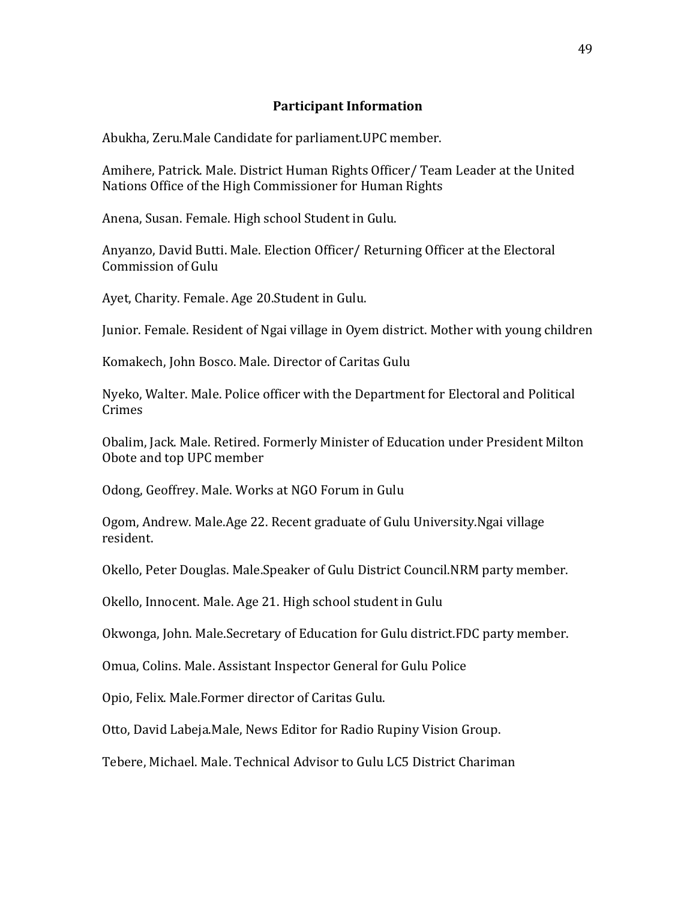# Participant Information

Abukha, Zeru.Male Candidate for parliament.UPC member.

Amihere, Patrick. Male. District Human Rights Officer/ Team Leader at the United Nations Office of the High Commissioner for Human Rights

Anena, Susan. Female. High school Student in Gulu.

Anyanzo, David Butti. Male. Election Officer/ Returning Officer at the Electoral Commission of Gulu

Ayet, Charity. Female. Age 20.Student in Gulu.

Junior. Female. Resident of Ngai village in Oyem district. Mother with young children

Komakech, John Bosco. Male. Director of Caritas Gulu

Nyeko, Walter. Male. Police officer with the Department for Electoral and Political Crimes

Obalim, Jack. Male. Retired. Formerly Minister of Education under President Milton Obote and top UPC member

Odong, Geoffrey. Male. Works at NGO Forum in Gulu

Ogom, Andrew. Male.Age 22. Recent graduate of Gulu University.Ngai village resident.

Okello, Peter Douglas. Male.Speaker of Gulu District Council.NRM party member.

Okello, Innocent. Male. Age 21. High school student in Gulu

Okwonga, John. Male.Secretary of Education for Gulu district.FDC party member.

Omua, Colins. Male. Assistant Inspector General for Gulu Police

Opio, Felix. Male.Former director of Caritas Gulu.

Otto, David Labeja.Male, News Editor for Radio Rupiny Vision Group.

Tebere, Michael. Male. Technical Advisor to Gulu LC5 District Chariman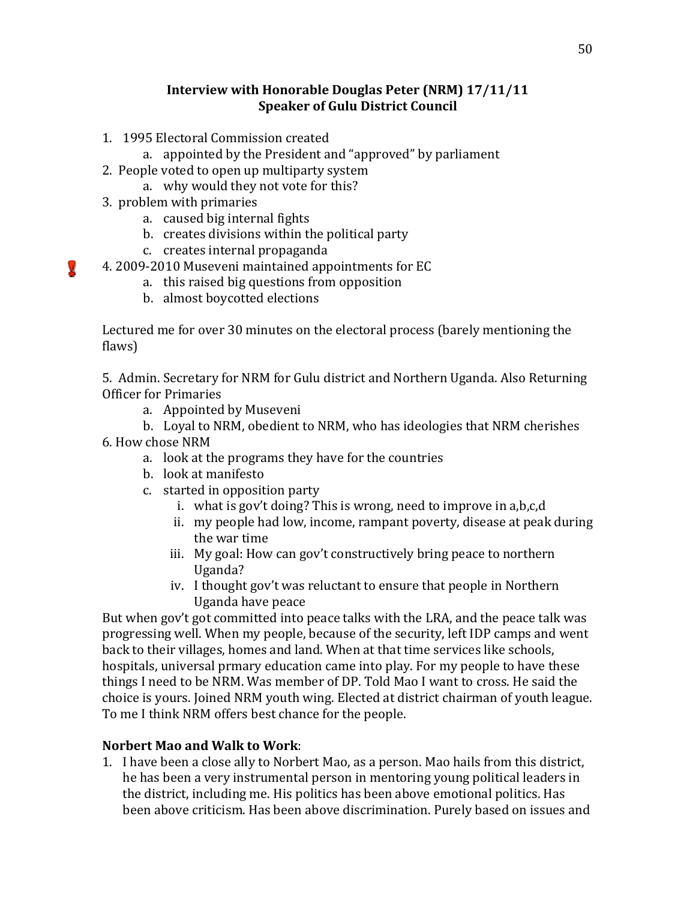# Interview with Honorable Douglas Peter (NRM) 17/11/11 Speaker of Gulu District Council

- 1. 1995 Electoral Commission created
	- a. appointed by the President and "approved" by parliament
- 2. People voted to open up multiparty system
	- a. why would they not vote for this?
- 3. problem with primaries

V.

- a. caused big internal fights
- b. creates divisions within the political party
- c. creates internal propaganda
- 4. 2009-2010 Museveni maintained appointments for EC
	- a. this raised big questions from opposition
	- b. almost boycotted elections

Lectured me for over 30 minutes on the electoral process (barely mentioning the flaws)

5. Admin. Secretary for NRM for Gulu district and Northern Uganda. Also Returning Officer for Primaries

a. Appointed by Museveni

b. Loyal to NRM, obedient to NRM, who has ideologies that NRM cherishes

- 6. How chose NRM
	- a. look at the programs they have for the countries
	- b. look at manifesto
	- c. started in opposition party
		- i. what is gov't doing? This is wrong, need to improve in a,b,c,d
		- ii. my people had low, income, rampant poverty, disease at peak during the war time
		- iii. My goal: How can gov't constructively bring peace to northern Uganda?
		- iv. I thought gov't was reluctant to ensure that people in Northern Uganda have peace

But when gov't got committed into peace talks with the LRA, and the peace talk was progressing well. When my people, because of the security, left IDP camps and went back to their villages, homes and land. When at that time services like schools, hospitals, universal prmary education came into play. For my people to have these things I need to be NRM. Was member of DP. Told Mao I want to cross. He said the choice is yours. Joined NRM youth wing. Elected at district chairman of youth league. To me I think NRM offers best chance for the people.

# Norbert Mao and Walk to Work:

1. I have been a close ally to Norbert Mao, as a person. Mao hails from this district, he has been a very instrumental person in mentoring young political leaders in the district, including me. His politics has been above emotional politics. Has been above criticism. Has been above discrimination. Purely based on issues and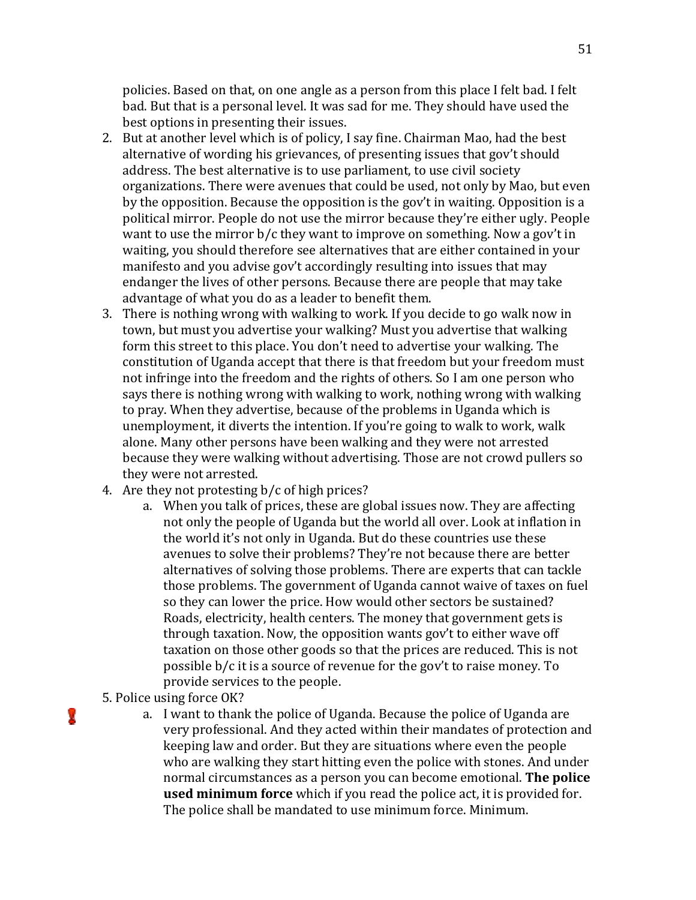policies. Based on that, on one angle as a person from this place I felt bad. I felt bad. But that is a personal level. It was sad for me. They should have used the best options in presenting their issues.

- 2. But at another level which is of policy, I say fine. Chairman Mao, had the best alternative of wording his grievances, of presenting issues that gov't should address. The best alternative is to use parliament, to use civil society organizations. There were avenues that could be used, not only by Mao, but even by the opposition. Because the opposition is the gov't in waiting. Opposition is a political mirror. People do not use the mirror because they're either ugly. People want to use the mirror b/c they want to improve on something. Now a gov't in waiting, you should therefore see alternatives that are either contained in your manifesto and you advise gov't accordingly resulting into issues that may endanger the lives of other persons. Because there are people that may take advantage of what you do as a leader to benefit them.
- 3. There is nothing wrong with walking to work. If you decide to go walk now in town, but must you advertise your walking? Must you advertise that walking form this street to this place. You don't need to advertise your walking. The constitution of Uganda accept that there is that freedom but your freedom must not infringe into the freedom and the rights of others. So I am one person who says there is nothing wrong with walking to work, nothing wrong with walking to pray. When they advertise, because of the problems in Uganda which is unemployment, it diverts the intention. If you're going to walk to work, walk alone. Many other persons have been walking and they were not arrested because they were walking without advertising. Those are not crowd pullers so they were not arrested.
- 4. Are they not protesting b/c of high prices?
	- a. When you talk of prices, these are global issues now. They are affecting not only the people of Uganda but the world all over. Look at inflation in the world it's not only in Uganda. But do these countries use these avenues to solve their problems? They're not because there are better alternatives of solving those problems. There are experts that can tackle those problems. The government of Uganda cannot waive of taxes on fuel so they can lower the price. How would other sectors be sustained? Roads, electricity, health centers. The money that government gets is through taxation. Now, the opposition wants gov't to either wave off taxation on those other goods so that the prices are reduced. This is not possible b/c it is a source of revenue for the gov't to raise money. To provide services to the people.
- 5. Police using force OK?

V

a. I want to thank the police of Uganda. Because the police of Uganda are very professional. And they acted within their mandates of protection and keeping law and order. But they are situations where even the people who are walking they start hitting even the police with stones. And under normal circumstances as a person you can become emotional. The police **used minimum force** which if you read the police act, it is provided for. The police shall be mandated to use minimum force. Minimum.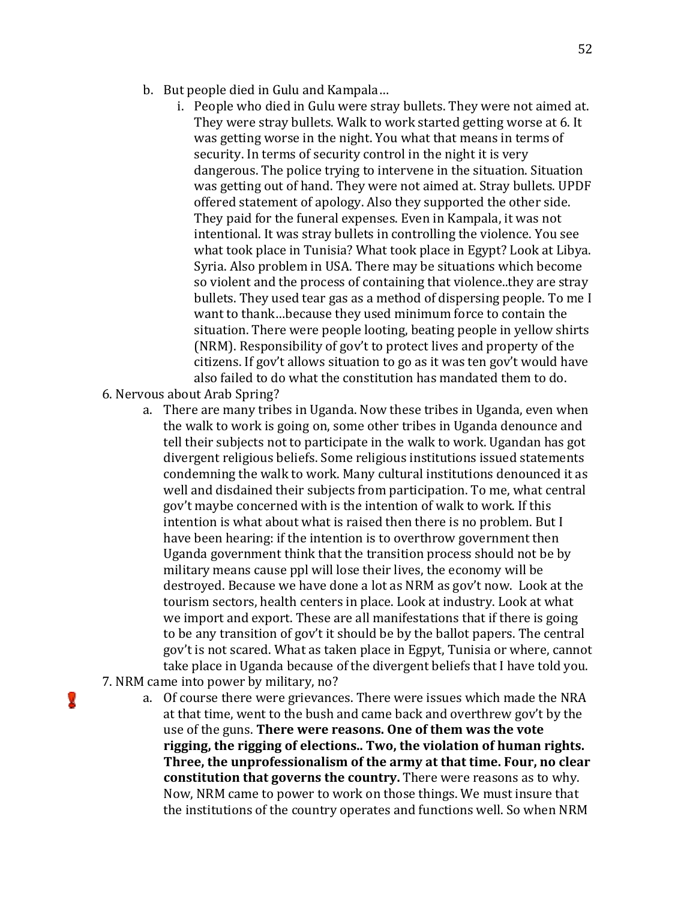- b. But people died in Gulu and Kampala…
	- i. People who died in Gulu were stray bullets. They were not aimed at. They were stray bullets. Walk to work started getting worse at 6. It was getting worse in the night. You what that means in terms of security. In terms of security control in the night it is very dangerous. The police trying to intervene in the situation. Situation was getting out of hand. They were not aimed at. Stray bullets. UPDF offered statement of apology. Also they supported the other side. They paid for the funeral expenses. Even in Kampala, it was not intentional. It was stray bullets in controlling the violence. You see what took place in Tunisia? What took place in Egypt? Look at Libya. Syria. Also problem in USA. There may be situations which become so violent and the process of containing that violence..they are stray bullets. They used tear gas as a method of dispersing people. To me I want to thank…because they used minimum force to contain the situation. There were people looting, beating people in yellow shirts (NRM). Responsibility of gov't to protect lives and property of the citizens. If gov't allows situation to go as it was ten gov't would have also failed to do what the constitution has mandated them to do.
- 6. Nervous about Arab Spring?

ν

- a. There are many tribes in Uganda. Now these tribes in Uganda, even when the walk to work is going on, some other tribes in Uganda denounce and tell their subjects not to participate in the walk to work. Ugandan has got divergent religious beliefs. Some religious institutions issued statements condemning the walk to work. Many cultural institutions denounced it as well and disdained their subjects from participation. To me, what central gov't maybe concerned with is the intention of walk to work. If this intention is what about what is raised then there is no problem. But I have been hearing: if the intention is to overthrow government then Uganda government think that the transition process should not be by military means cause ppl will lose their lives, the economy will be destroyed. Because we have done a lot as NRM as gov't now. Look at the tourism sectors, health centers in place. Look at industry. Look at what we import and export. These are all manifestations that if there is going to be any transition of gov't it should be by the ballot papers. The central gov't is not scared. What as taken place in Egpyt, Tunisia or where, cannot take place in Uganda because of the divergent beliefs that I have told you. 7. NRM came into power by military, no?
	- a. Of course there were grievances. There were issues which made the NRA at that time, went to the bush and came back and overthrew gov't by the use of the guns. There were reasons. One of them was the vote rigging, the rigging of elections.. Two, the violation of human rights. Three, the unprofessionalism of the army at that time. Four, no clear constitution that governs the country. There were reasons as to why. Now, NRM came to power to work on those things. We must insure that the institutions of the country operates and functions well. So when NRM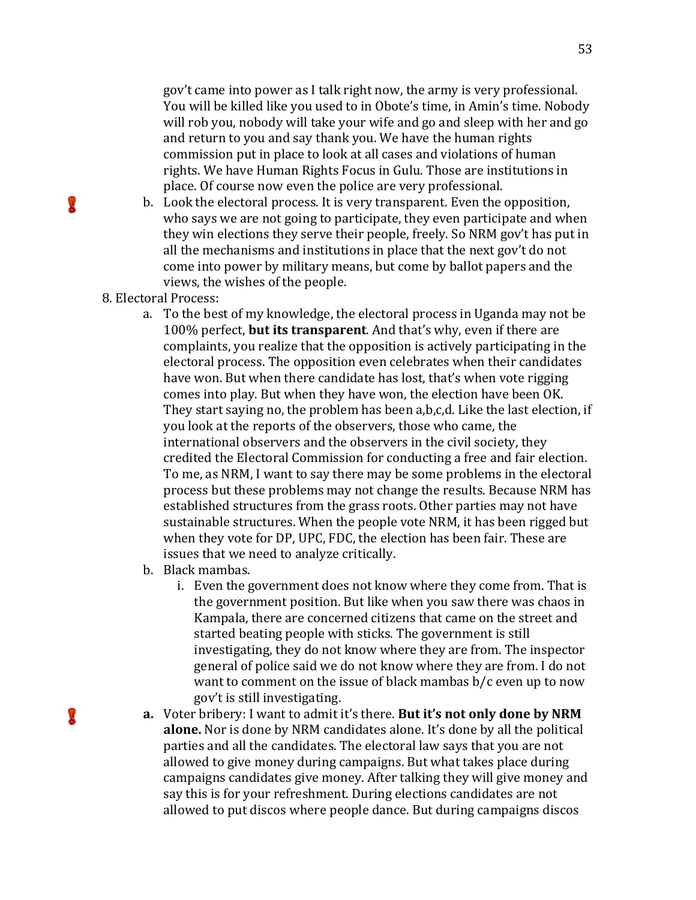gov't came into power as I talk right now, the army is very professional. You will be killed like you used to in Obote's time, in Amin's time. Nobody will rob you, nobody will take your wife and go and sleep with her and go and return to you and say thank you. We have the human rights commission put in place to look at all cases and violations of human rights. We have Human Rights Focus in Gulu. Those are institutions in place. Of course now even the police are very professional.

- b. Look the electoral process. It is very transparent. Even the opposition, who says we are not going to participate, they even participate and when they win elections they serve their people, freely. So NRM gov't has put in all the mechanisms and institutions in place that the next gov't do not come into power by military means, but come by ballot papers and the views, the wishes of the people.
- 8. Electoral Process:

G

У

- a. To the best of my knowledge, the electoral process in Uganda may not be 100% perfect, but its transparent. And that's why, even if there are complaints, you realize that the opposition is actively participating in the electoral process. The opposition even celebrates when their candidates have won. But when there candidate has lost, that's when vote rigging comes into play. But when they have won, the election have been OK. They start saying no, the problem has been a,b,c,d. Like the last election, if you look at the reports of the observers, those who came, the international observers and the observers in the civil society, they credited the Electoral Commission for conducting a free and fair election. To me, as NRM, I want to say there may be some problems in the electoral process but these problems may not change the results. Because NRM has established structures from the grass roots. Other parties may not have sustainable structures. When the people vote NRM, it has been rigged but when they vote for DP, UPC, FDC, the election has been fair. These are issues that we need to analyze critically.
- b. Black mambas.
	- i. Even the government does not know where they come from. That is the government position. But like when you saw there was chaos in Kampala, there are concerned citizens that came on the street and started beating people with sticks. The government is still investigating, they do not know where they are from. The inspector general of police said we do not know where they are from. I do not want to comment on the issue of black mambas b/c even up to now gov't is still investigating.
- a. Voter bribery: I want to admit it's there. But it's not only done by NRM alone. Nor is done by NRM candidates alone. It's done by all the political parties and all the candidates. The electoral law says that you are not allowed to give money during campaigns. But what takes place during campaigns candidates give money. After talking they will give money and say this is for your refreshment. During elections candidates are not allowed to put discos where people dance. But during campaigns discos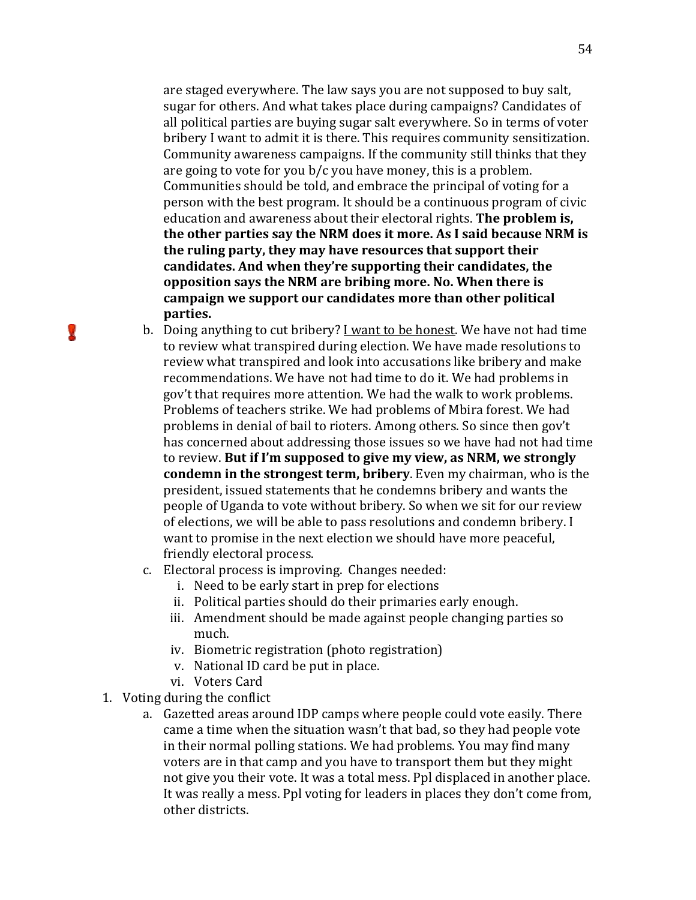are staged everywhere. The law says you are not supposed to buy salt, sugar for others. And what takes place during campaigns? Candidates of all political parties are buying sugar salt everywhere. So in terms of voter bribery I want to admit it is there. This requires community sensitization. Community awareness campaigns. If the community still thinks that they are going to vote for you b/c you have money, this is a problem. Communities should be told, and embrace the principal of voting for a person with the best program. It should be a continuous program of civic education and awareness about their electoral rights. The problem is, the other parties say the NRM does it more. As I said because NRM is the ruling party, they may have resources that support their candidates. And when they're supporting their candidates, the opposition says the NRM are bribing more. No. When there is campaign we support our candidates more than other political parties.

- b. Doing anything to cut bribery? I want to be honest. We have not had time to review what transpired during election. We have made resolutions to review what transpired and look into accusations like bribery and make recommendations. We have not had time to do it. We had problems in gov't that requires more attention. We had the walk to work problems. Problems of teachers strike. We had problems of Mbira forest. We had problems in denial of bail to rioters. Among others. So since then gov't has concerned about addressing those issues so we have had not had time to review. But if I'm supposed to give my view, as NRM, we strongly condemn in the strongest term, bribery. Even my chairman, who is the president, issued statements that he condemns bribery and wants the people of Uganda to vote without bribery. So when we sit for our review of elections, we will be able to pass resolutions and condemn bribery. I want to promise in the next election we should have more peaceful, friendly electoral process.
- c. Electoral process is improving. Changes needed:
	- i. Need to be early start in prep for elections
	- ii. Political parties should do their primaries early enough.
	- iii. Amendment should be made against people changing parties so much.
	- iv. Biometric registration (photo registration)
	- v. National ID card be put in place.
	- vi. Voters Card
- 1. Voting during the conflict

Œ

a. Gazetted areas around IDP camps where people could vote easily. There came a time when the situation wasn't that bad, so they had people vote in their normal polling stations. We had problems. You may find many voters are in that camp and you have to transport them but they might not give you their vote. It was a total mess. Ppl displaced in another place. It was really a mess. Ppl voting for leaders in places they don't come from, other districts.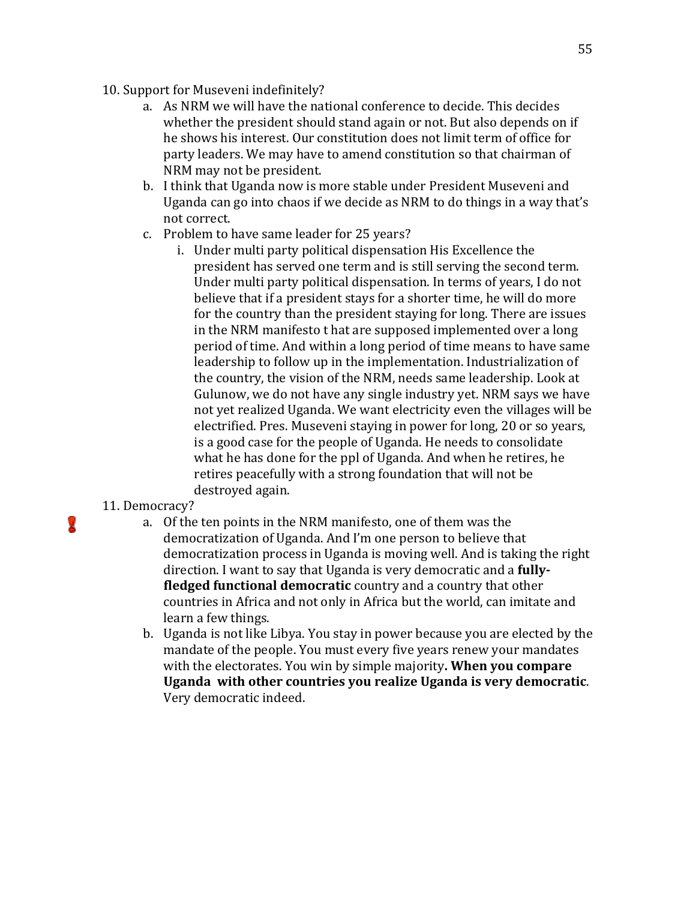- 10. Support for Museveni indefinitely?
	- a. As NRM we will have the national conference to decide. This decides whether the president should stand again or not. But also depends on if he shows his interest. Our constitution does not limit term of office for party leaders. We may have to amend constitution so that chairman of NRM may not be president.
	- b. I think that Uganda now is more stable under President Museveni and Uganda can go into chaos if we decide as NRM to do things in a way that's not correct.
	- c. Problem to have same leader for 25 years?
		- i. Under multi party political dispensation His Excellence the president has served one term and is still serving the second term. Under multi party political dispensation. In terms of years, I do not believe that if a president stays for a shorter time, he will do more for the country than the president staying for long. There are issues in the NRM manifesto t hat are supposed implemented over a long period of time. And within a long period of time means to have same leadership to follow up in the implementation. Industrialization of the country, the vision of the NRM, needs same leadership. Look at Gulunow, we do not have any single industry yet. NRM says we have not yet realized Uganda. We want electricity even the villages will be electrified. Pres. Museveni staying in power for long, 20 or so years, is a good case for the people of Uganda. He needs to consolidate what he has done for the ppl of Uganda. And when he retires, he retires peacefully with a strong foundation that will not be destroyed again.

# 11. Democracy?

u

- a. Of the ten points in the NRM manifesto, one of them was the democratization of Uganda. And I'm one person to believe that democratization process in Uganda is moving well. And is taking the right direction. I want to say that Uganda is very democratic and a **fully**fledged functional democratic country and a country that other countries in Africa and not only in Africa but the world, can imitate and learn a few things.
- b. Uganda is not like Libya. You stay in power because you are elected by the mandate of the people. You must every five years renew your mandates with the electorates. You win by simple majority. When you compare Uganda with other countries you realize Uganda is very democratic. Very democratic indeed.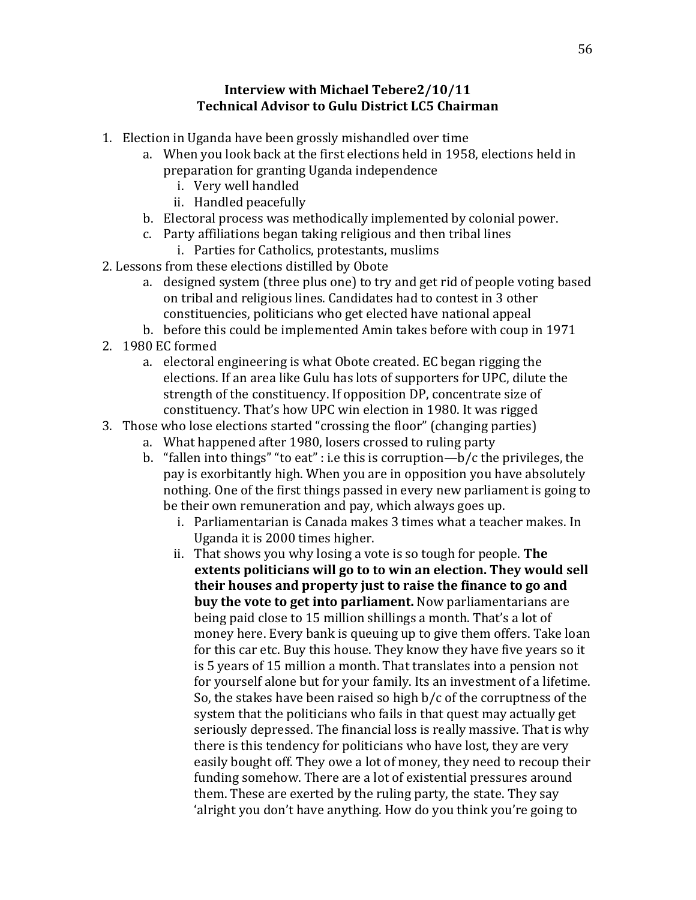# Interview with Michael Tebere2/10/11 Technical Advisor to Gulu District LC5 Chairman

- 1. Election in Uganda have been grossly mishandled over time
	- a. When you look back at the first elections held in 1958, elections held in preparation for granting Uganda independence
		- i. Very well handled
		- ii. Handled peacefully
	- b. Electoral process was methodically implemented by colonial power.
	- c. Party affiliations began taking religious and then tribal lines
		- i. Parties for Catholics, protestants, muslims
- 2. Lessons from these elections distilled by Obote
	- a. designed system (three plus one) to try and get rid of people voting based on tribal and religious lines. Candidates had to contest in 3 other constituencies, politicians who get elected have national appeal
	- b. before this could be implemented Amin takes before with coup in 1971
- 2. 1980 EC formed
	- a. electoral engineering is what Obote created. EC began rigging the elections. If an area like Gulu has lots of supporters for UPC, dilute the strength of the constituency. If opposition DP, concentrate size of constituency. That's how UPC win election in 1980. It was rigged
- 3. Those who lose elections started "crossing the floor" (changing parties)
	- a. What happened after 1980, losers crossed to ruling party
	- b. "fallen into things" "to eat" : i.e this is corruption— $b/c$  the privileges, the pay is exorbitantly high. When you are in opposition you have absolutely nothing. One of the first things passed in every new parliament is going to be their own remuneration and pay, which always goes up.
		- i. Parliamentarian is Canada makes 3 times what a teacher makes. In Uganda it is 2000 times higher.
		- ii. That shows you why losing a vote is so tough for people. The extents politicians will go to to win an election. They would sell their houses and property just to raise the finance to go and buy the vote to get into parliament. Now parliamentarians are being paid close to 15 million shillings a month. That's a lot of money here. Every bank is queuing up to give them offers. Take loan for this car etc. Buy this house. They know they have five years so it is 5 years of 15 million a month. That translates into a pension not for yourself alone but for your family. Its an investment of a lifetime. So, the stakes have been raised so high b/c of the corruptness of the system that the politicians who fails in that quest may actually get seriously depressed. The financial loss is really massive. That is why there is this tendency for politicians who have lost, they are very easily bought off. They owe a lot of money, they need to recoup their funding somehow. There are a lot of existential pressures around them. These are exerted by the ruling party, the state. They say 'alright you don't have anything. How do you think you're going to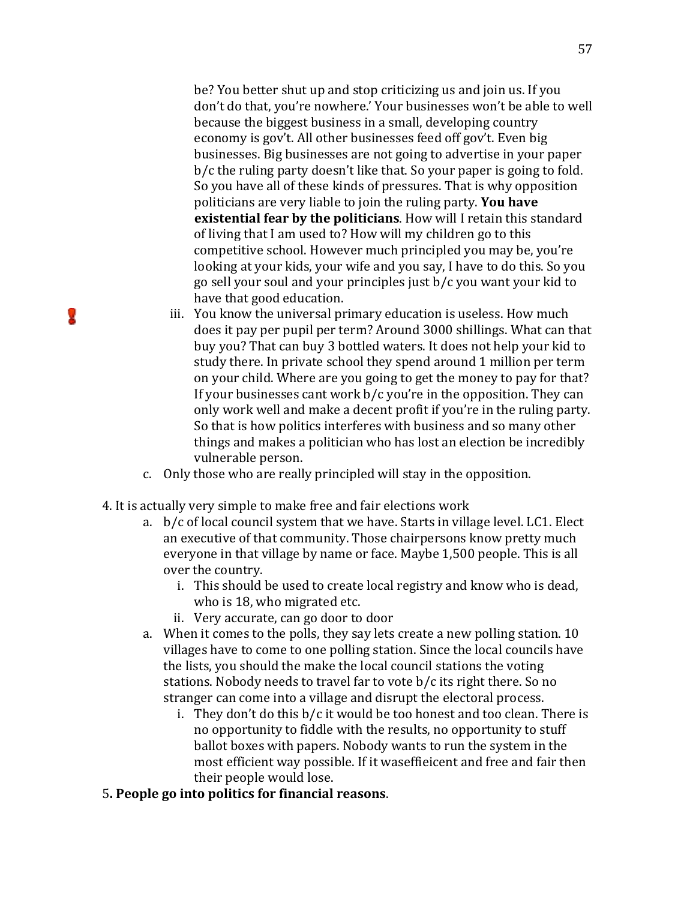be? You better shut up and stop criticizing us and join us. If you don't do that, you're nowhere.' Your businesses won't be able to well because the biggest business in a small, developing country economy is gov't. All other businesses feed off gov't. Even big businesses. Big businesses are not going to advertise in your paper b/c the ruling party doesn't like that. So your paper is going to fold. So you have all of these kinds of pressures. That is why opposition politicians are very liable to join the ruling party. You have existential fear by the politicians. How will I retain this standard of living that I am used to? How will my children go to this competitive school. However much principled you may be, you're looking at your kids, your wife and you say, I have to do this. So you go sell your soul and your principles just b/c you want your kid to have that good education.

- iii. You know the universal primary education is useless. How much does it pay per pupil per term? Around 3000 shillings. What can that buy you? That can buy 3 bottled waters. It does not help your kid to study there. In private school they spend around 1 million per term on your child. Where are you going to get the money to pay for that? If your businesses cant work b/c you're in the opposition. They can only work well and make a decent profit if you're in the ruling party. So that is how politics interferes with business and so many other things and makes a politician who has lost an election be incredibly vulnerable person.
- c. Only those who are really principled will stay in the opposition.
- 4. It is actually very simple to make free and fair elections work

L.

- a. b/c of local council system that we have. Starts in village level. LC1. Elect an executive of that community. Those chairpersons know pretty much everyone in that village by name or face. Maybe 1,500 people. This is all over the country.
	- i. This should be used to create local registry and know who is dead, who is 18, who migrated etc.
	- ii. Very accurate, can go door to door
- a. When it comes to the polls, they say lets create a new polling station. 10 villages have to come to one polling station. Since the local councils have the lists, you should the make the local council stations the voting stations. Nobody needs to travel far to vote b/c its right there. So no stranger can come into a village and disrupt the electoral process.
	- i. They don't do this b/c it would be too honest and too clean. There is no opportunity to fiddle with the results, no opportunity to stuff ballot boxes with papers. Nobody wants to run the system in the most efficient way possible. If it waseffieicent and free and fair then their people would lose.
- 5. People go into politics for financial reasons.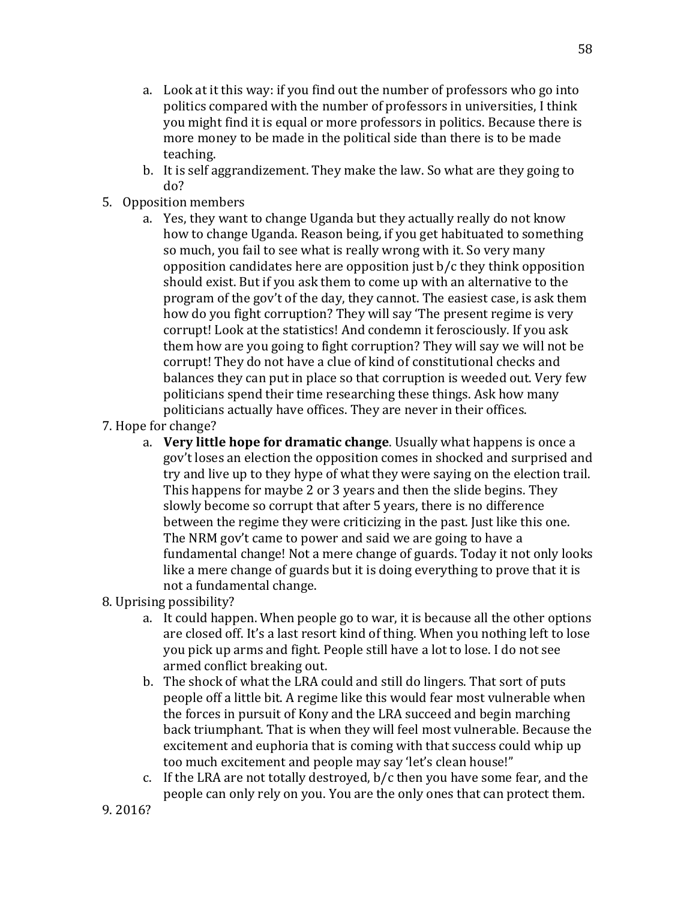- a. Look at it this way: if you find out the number of professors who go into politics compared with the number of professors in universities, I think you might find it is equal or more professors in politics. Because there is more money to be made in the political side than there is to be made teaching.
- b. It is self aggrandizement. They make the law. So what are they going to do?
- 5. Opposition members
	- a. Yes, they want to change Uganda but they actually really do not know how to change Uganda. Reason being, if you get habituated to something so much, you fail to see what is really wrong with it. So very many opposition candidates here are opposition just b/c they think opposition should exist. But if you ask them to come up with an alternative to the program of the gov't of the day, they cannot. The easiest case, is ask them how do you fight corruption? They will say 'The present regime is very corrupt! Look at the statistics! And condemn it ferosciously. If you ask them how are you going to fight corruption? They will say we will not be corrupt! They do not have a clue of kind of constitutional checks and balances they can put in place so that corruption is weeded out. Very few politicians spend their time researching these things. Ask how many politicians actually have offices. They are never in their offices.
- 7. Hope for change?
	- a. Very little hope for dramatic change. Usually what happens is once a gov't loses an election the opposition comes in shocked and surprised and try and live up to they hype of what they were saying on the election trail. This happens for maybe 2 or 3 years and then the slide begins. They slowly become so corrupt that after 5 years, there is no difference between the regime they were criticizing in the past. Just like this one. The NRM gov't came to power and said we are going to have a fundamental change! Not a mere change of guards. Today it not only looks like a mere change of guards but it is doing everything to prove that it is not a fundamental change.
- 8. Uprising possibility?
	- a. It could happen. When people go to war, it is because all the other options are closed off. It's a last resort kind of thing. When you nothing left to lose you pick up arms and fight. People still have a lot to lose. I do not see armed conflict breaking out.
	- b. The shock of what the LRA could and still do lingers. That sort of puts people off a little bit. A regime like this would fear most vulnerable when the forces in pursuit of Kony and the LRA succeed and begin marching back triumphant. That is when they will feel most vulnerable. Because the excitement and euphoria that is coming with that success could whip up too much excitement and people may say 'let's clean house!"
	- c. If the LRA are not totally destroyed, b/c then you have some fear, and the people can only rely on you. You are the only ones that can protect them.

9. 2016?